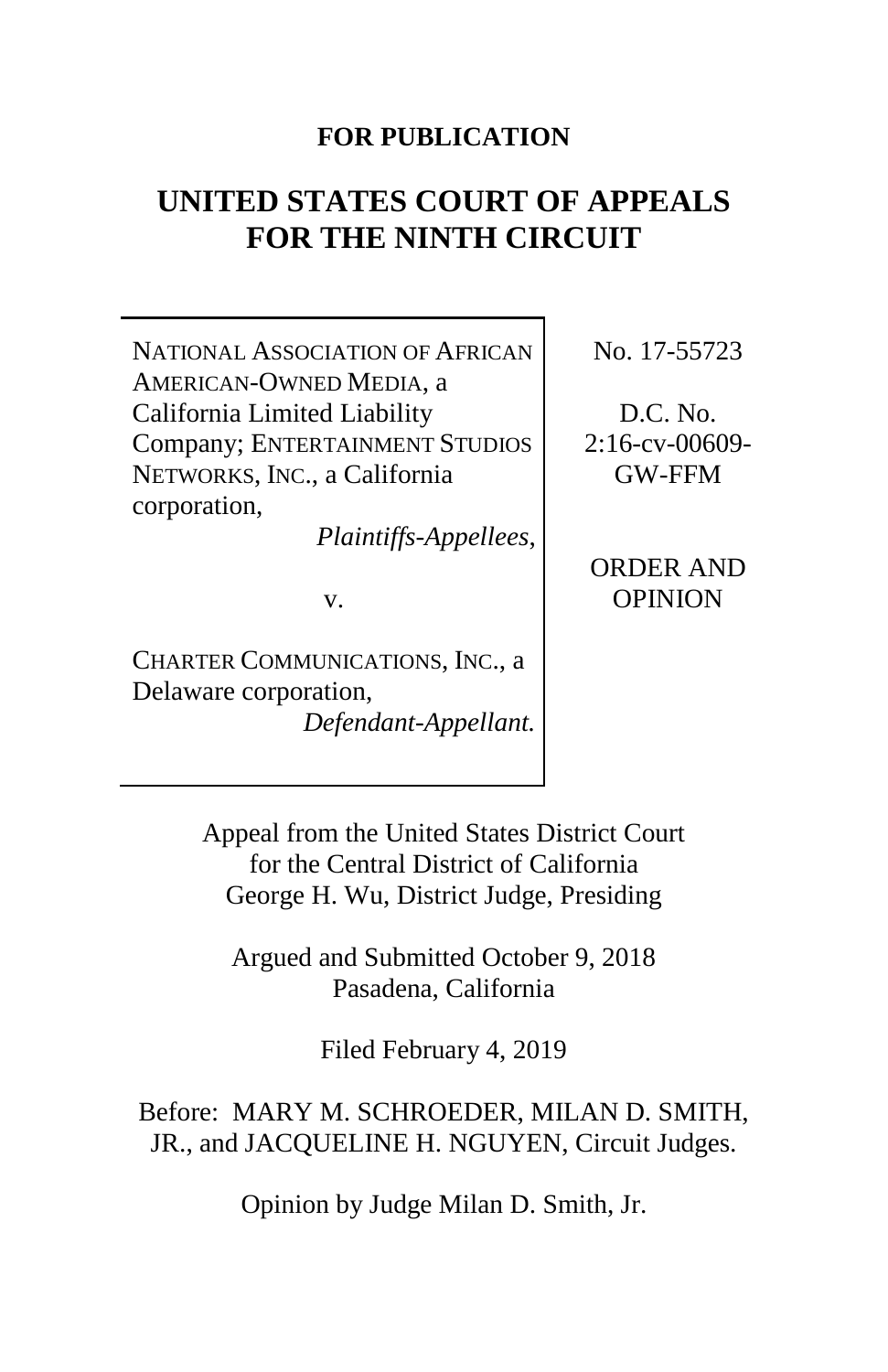### **FOR PUBLICATION**

# **UNITED STATES COURT OF APPEALS FOR THE NINTH CIRCUIT**

NATIONAL ASSOCIATION OF AFRICAN AMERICAN-OWNED MEDIA, a California Limited Liability Company; ENTERTAINMENT STUDIOS NETWORKS, INC., a California corporation,

*Plaintiffs-Appellees*,

v.

CHARTER COMMUNICATIONS, INC., a Delaware corporation, *Defendant-Appellant.* No. 17-55723

D.C. No. 2:16-cv-00609- GW-FFM

ORDER AND OPINION

Appeal from the United States District Court for the Central District of California George H. Wu, District Judge, Presiding

Argued and Submitted October 9, 2018 Pasadena, California

Filed February 4, 2019

Before: MARY M. SCHROEDER, MILAN D. SMITH, JR., and JACQUELINE H. NGUYEN, Circuit Judges.

Opinion by Judge Milan D. Smith, Jr.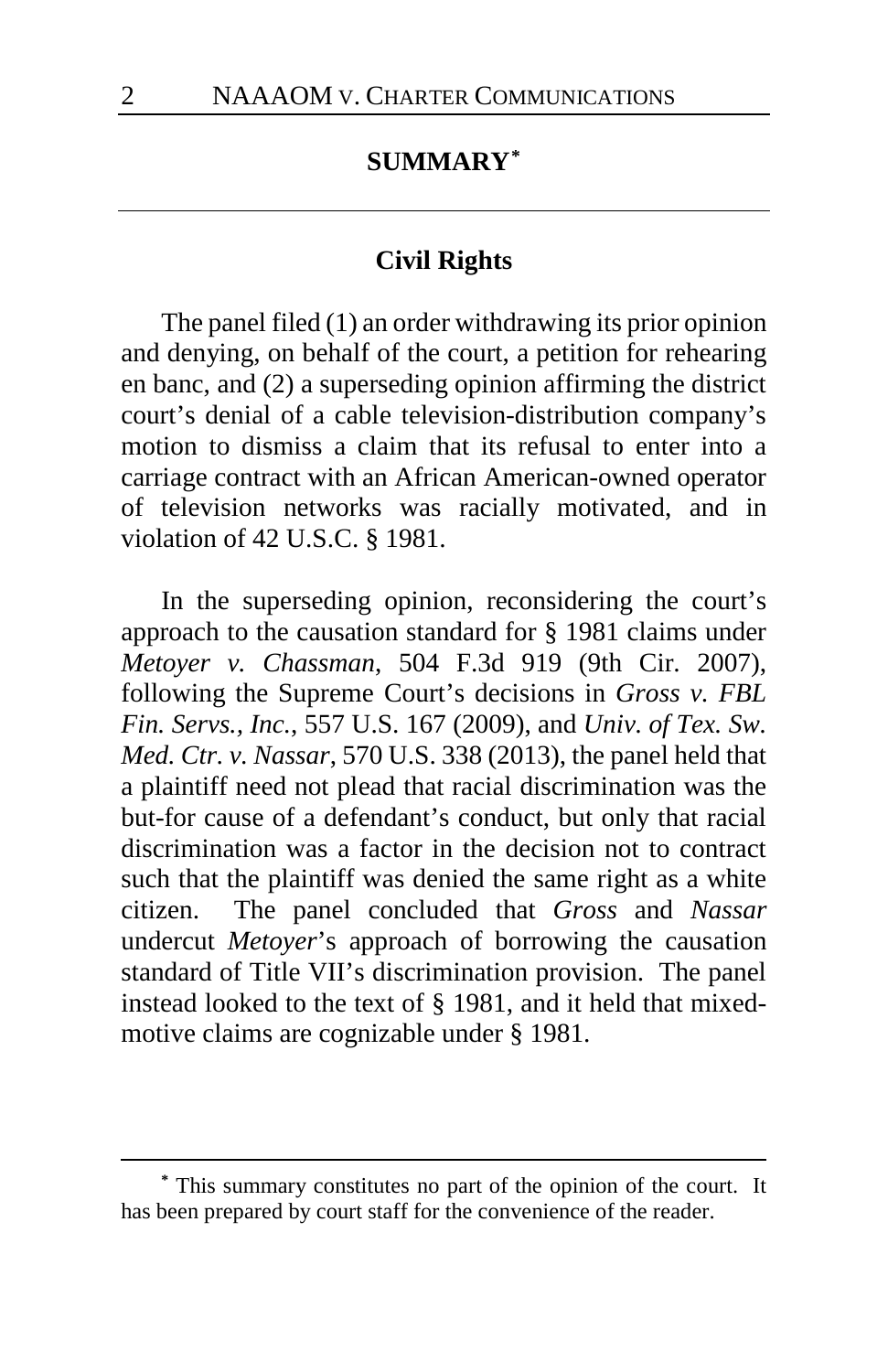### **SUMMARY[\\*](#page-1-0)**

#### **Civil Rights**

The panel filed (1) an order withdrawing its prior opinion and denying, on behalf of the court, a petition for rehearing en banc, and (2) a superseding opinion affirming the district court's denial of a cable television-distribution company's motion to dismiss a claim that its refusal to enter into a carriage contract with an African American-owned operator of television networks was racially motivated, and in violation of 42 U.S.C. § 1981.

In the superseding opinion, reconsidering the court's approach to the causation standard for § 1981 claims under *Metoyer v. Chassman*, 504 F.3d 919 (9th Cir. 2007), following the Supreme Court's decisions in *Gross v. FBL Fin. Servs., Inc.*, 557 U.S. 167 (2009), and *Univ. of Tex. Sw. Med. Ctr. v. Nassar*, 570 U.S. 338 (2013), the panel held that a plaintiff need not plead that racial discrimination was the but-for cause of a defendant's conduct, but only that racial discrimination was a factor in the decision not to contract such that the plaintiff was denied the same right as a white citizen. The panel concluded that *Gross* and *Nassar* undercut *Metoyer*'s approach of borrowing the causation standard of Title VII's discrimination provision. The panel instead looked to the text of § 1981, and it held that mixedmotive claims are cognizable under § 1981.

<span id="page-1-0"></span>**<sup>\*</sup>** This summary constitutes no part of the opinion of the court. It has been prepared by court staff for the convenience of the reader.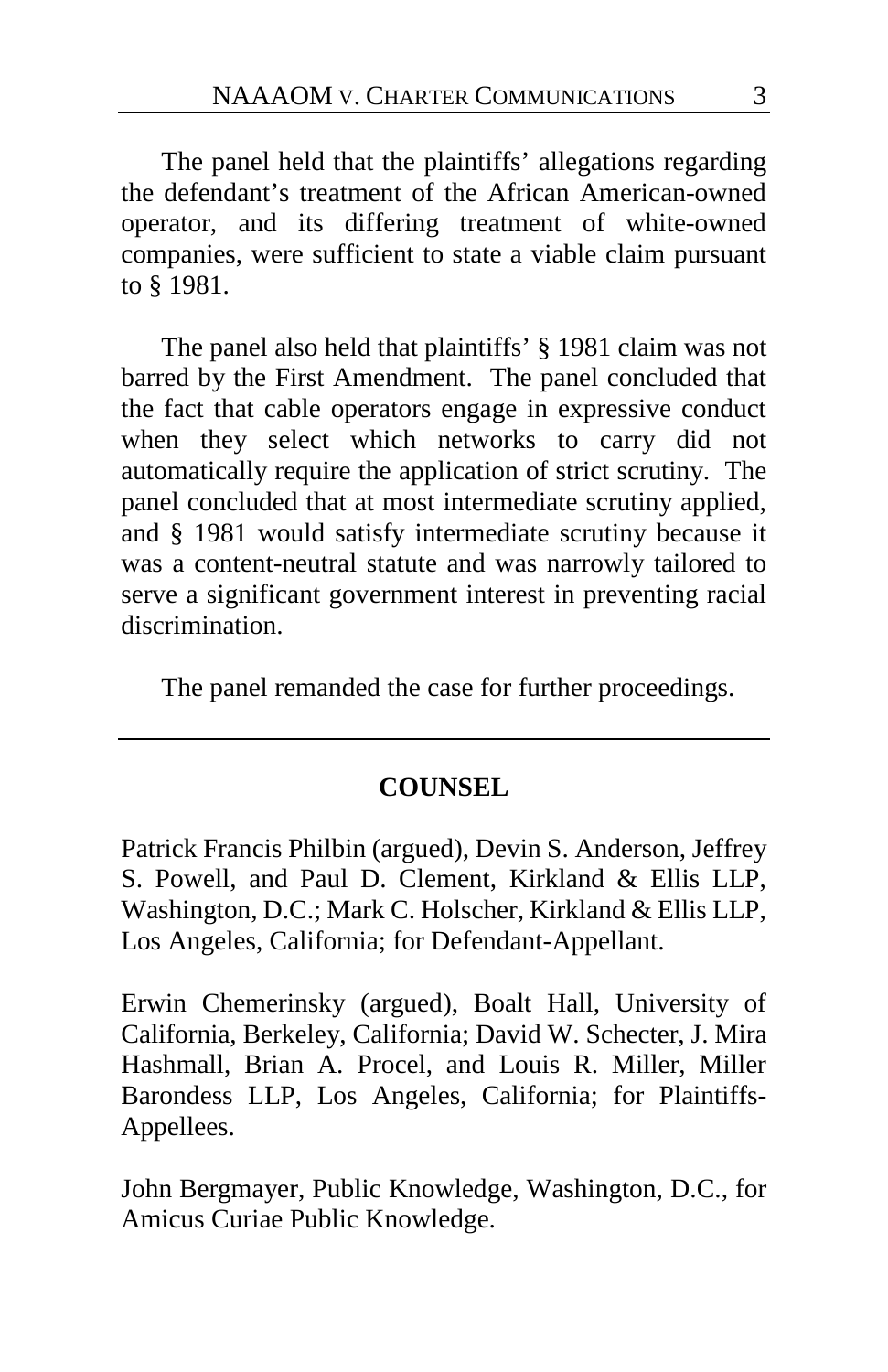The panel held that the plaintiffs' allegations regarding the defendant's treatment of the African American-owned operator, and its differing treatment of white-owned companies, were sufficient to state a viable claim pursuant to § 1981.

The panel also held that plaintiffs' § 1981 claim was not barred by the First Amendment. The panel concluded that the fact that cable operators engage in expressive conduct when they select which networks to carry did not automatically require the application of strict scrutiny. The panel concluded that at most intermediate scrutiny applied, and § 1981 would satisfy intermediate scrutiny because it was a content-neutral statute and was narrowly tailored to serve a significant government interest in preventing racial discrimination.

The panel remanded the case for further proceedings.

#### **COUNSEL**

Patrick Francis Philbin (argued), Devin S. Anderson, Jeffrey S. Powell, and Paul D. Clement, Kirkland & Ellis LLP, Washington, D.C.; Mark C. Holscher, Kirkland & Ellis LLP, Los Angeles, California; for Defendant-Appellant.

Erwin Chemerinsky (argued), Boalt Hall, University of California, Berkeley, California; David W. Schecter, J. Mira Hashmall, Brian A. Procel, and Louis R. Miller, Miller Barondess LLP, Los Angeles, California; for Plaintiffs-Appellees.

John Bergmayer, Public Knowledge, Washington, D.C., for Amicus Curiae Public Knowledge.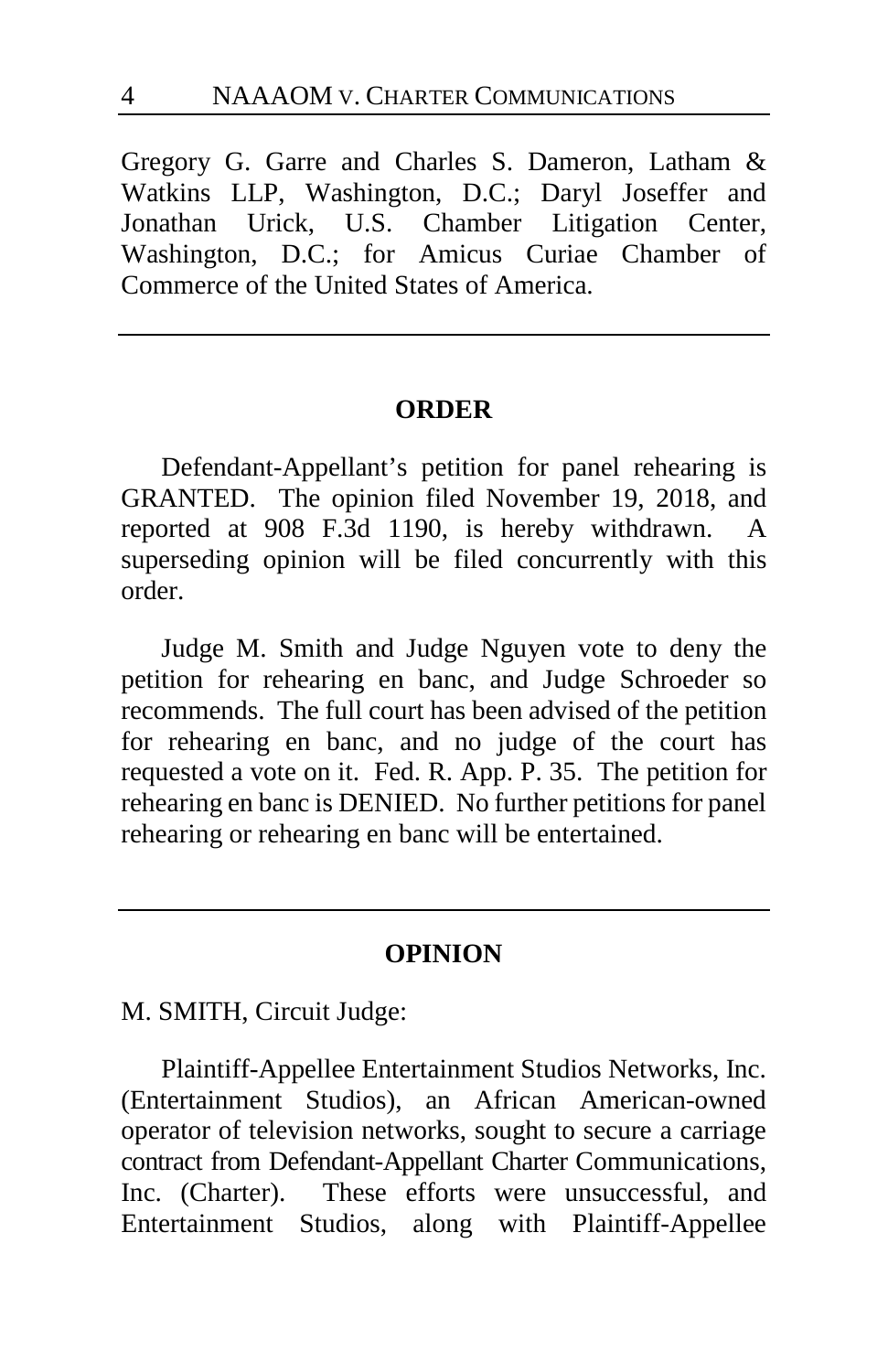Gregory G. Garre and Charles S. Dameron, Latham & Watkins LLP, Washington, D.C.; Daryl Joseffer and Jonathan Urick, U.S. Chamber Litigation Center, Washington, D.C.; for Amicus Curiae Chamber of Commerce of the United States of America.

#### **ORDER**

Defendant-Appellant's petition for panel rehearing is GRANTED. The opinion filed November 19, 2018, and reported at 908 F.3d 1190, is hereby withdrawn. A superseding opinion will be filed concurrently with this order.

Judge M. Smith and Judge Nguyen vote to deny the petition for rehearing en banc, and Judge Schroeder so recommends. The full court has been advised of the petition for rehearing en banc, and no judge of the court has requested a vote on it. Fed. R. App. P. 35. The petition for rehearing en banc is DENIED. No further petitions for panel rehearing or rehearing en banc will be entertained.

#### **OPINION**

M. SMITH, Circuit Judge:

Plaintiff-Appellee Entertainment Studios Networks, Inc. (Entertainment Studios), an African American-owned operator of television networks, sought to secure a carriage contract from Defendant-Appellant Charter Communications, Inc. (Charter). These efforts were unsuccessful, and Entertainment Studios, along with Plaintiff-Appellee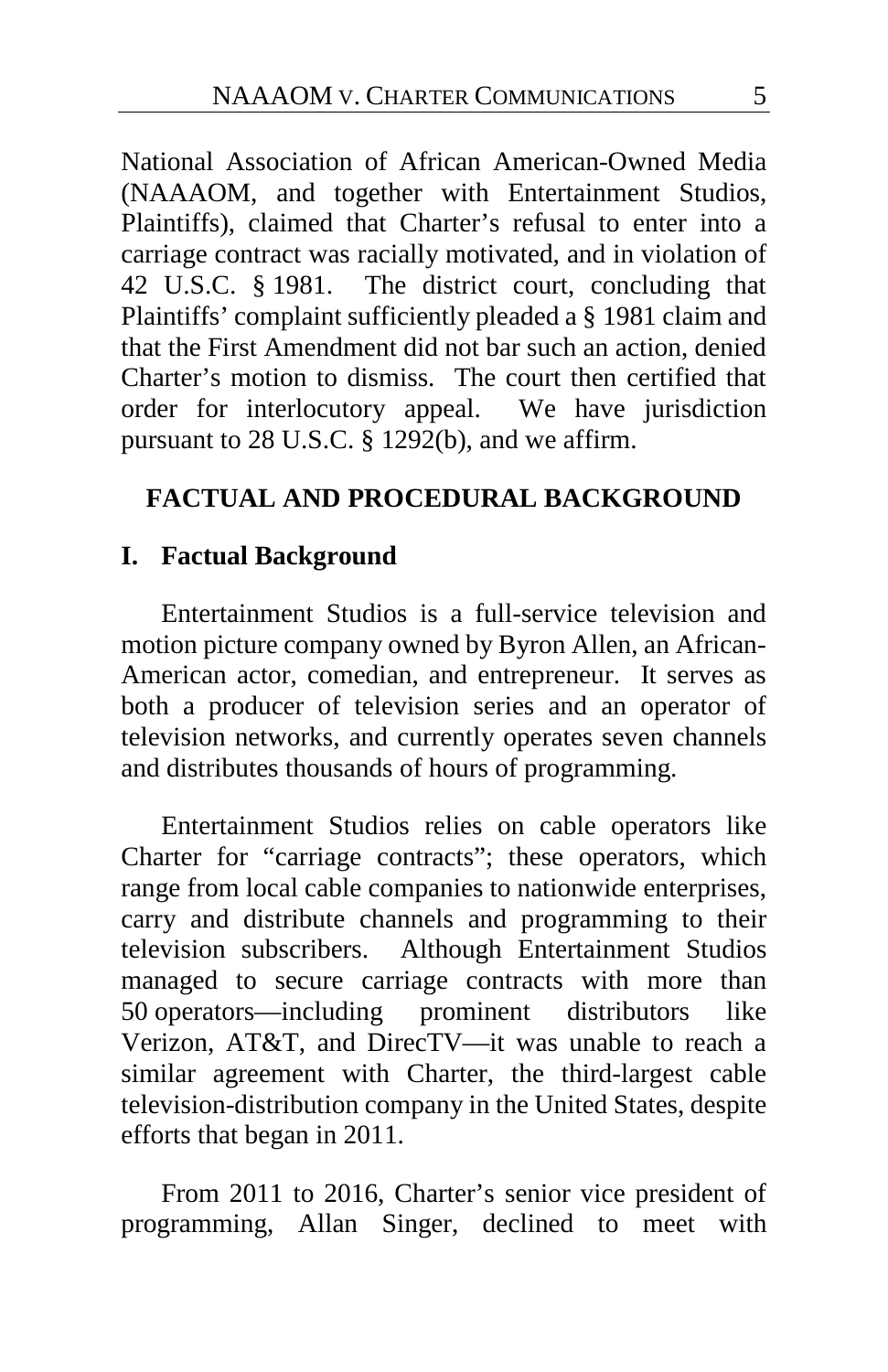National Association of African American-Owned Media (NAAAOM, and together with Entertainment Studios, Plaintiffs), claimed that Charter's refusal to enter into a carriage contract was racially motivated, and in violation of 42 U.S.C. § 1981. The district court, concluding that Plaintiffs' complaint sufficiently pleaded a § 1981 claim and that the First Amendment did not bar such an action, denied Charter's motion to dismiss. The court then certified that order for interlocutory appeal. We have jurisdiction pursuant to 28 U.S.C. § 1292(b), and we affirm.

# **FACTUAL AND PROCEDURAL BACKGROUND**

# **I. Factual Background**

Entertainment Studios is a full-service television and motion picture company owned by Byron Allen, an African-American actor, comedian, and entrepreneur. It serves as both a producer of television series and an operator of television networks, and currently operates seven channels and distributes thousands of hours of programming.

Entertainment Studios relies on cable operators like Charter for "carriage contracts"; these operators, which range from local cable companies to nationwide enterprises, carry and distribute channels and programming to their television subscribers. Although Entertainment Studios managed to secure carriage contracts with more than 50 operators—including prominent distributors like Verizon, AT&T, and DirecTV—it was unable to reach a similar agreement with Charter, the third-largest cable television-distribution company in the United States, despite efforts that began in 2011.

From 2011 to 2016, Charter's senior vice president of programming, Allan Singer, declined to meet with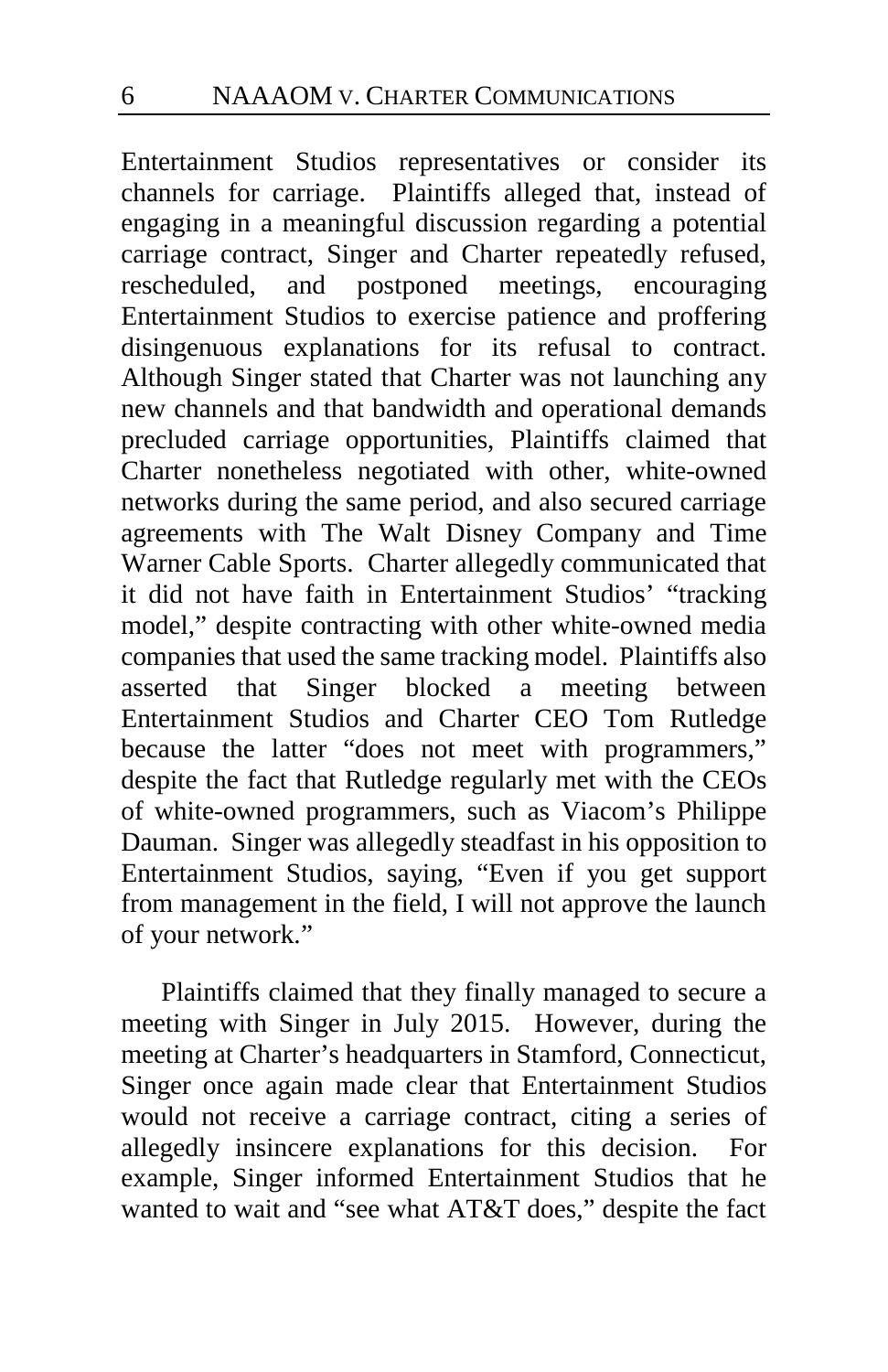Entertainment Studios representatives or consider its channels for carriage. Plaintiffs alleged that, instead of engaging in a meaningful discussion regarding a potential carriage contract, Singer and Charter repeatedly refused, rescheduled, and postponed meetings, encouraging and postponed meetings, encouraging Entertainment Studios to exercise patience and proffering disingenuous explanations for its refusal to contract. Although Singer stated that Charter was not launching any new channels and that bandwidth and operational demands precluded carriage opportunities, Plaintiffs claimed that Charter nonetheless negotiated with other, white-owned networks during the same period, and also secured carriage agreements with The Walt Disney Company and Time Warner Cable Sports. Charter allegedly communicated that it did not have faith in Entertainment Studios' "tracking model," despite contracting with other white-owned media companies that used the same tracking model. Plaintiffs also asserted that Singer blocked a meeting between Entertainment Studios and Charter CEO Tom Rutledge because the latter "does not meet with programmers," despite the fact that Rutledge regularly met with the CEOs of white-owned programmers, such as Viacom's Philippe Dauman. Singer was allegedly steadfast in his opposition to Entertainment Studios, saying, "Even if you get support from management in the field, I will not approve the launch of your network."

Plaintiffs claimed that they finally managed to secure a meeting with Singer in July 2015. However, during the meeting at Charter's headquarters in Stamford, Connecticut, Singer once again made clear that Entertainment Studios would not receive a carriage contract, citing a series of allegedly insincere explanations for this decision. For example, Singer informed Entertainment Studios that he wanted to wait and "see what AT&T does," despite the fact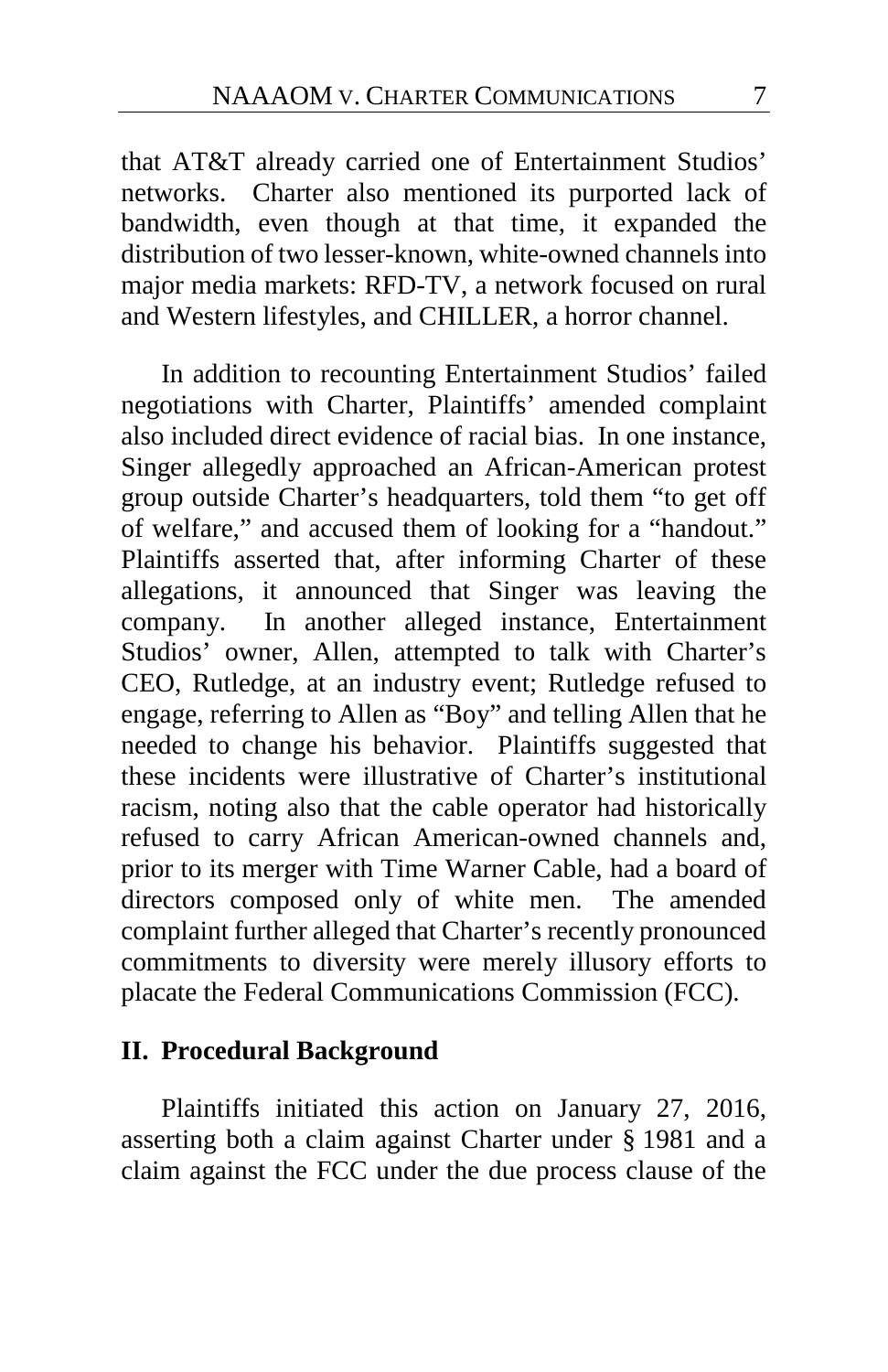that AT&T already carried one of Entertainment Studios' networks. Charter also mentioned its purported lack of bandwidth, even though at that time, it expanded the distribution of two lesser-known, white-owned channels into major media markets: RFD-TV, a network focused on rural and Western lifestyles, and CHILLER, a horror channel.

In addition to recounting Entertainment Studios' failed negotiations with Charter, Plaintiffs' amended complaint also included direct evidence of racial bias. In one instance, Singer allegedly approached an African-American protest group outside Charter's headquarters, told them "to get off of welfare," and accused them of looking for a "handout." Plaintiffs asserted that, after informing Charter of these allegations, it announced that Singer was leaving the company. In another alleged instance, Entertainment Studios' owner, Allen, attempted to talk with Charter's CEO, Rutledge, at an industry event; Rutledge refused to engage, referring to Allen as "Boy" and telling Allen that he needed to change his behavior. Plaintiffs suggested that these incidents were illustrative of Charter's institutional racism, noting also that the cable operator had historically refused to carry African American-owned channels and, prior to its merger with Time Warner Cable, had a board of directors composed only of white men. The amended complaint further alleged that Charter's recently pronounced commitments to diversity were merely illusory efforts to placate the Federal Communications Commission (FCC).

### **II. Procedural Background**

Plaintiffs initiated this action on January 27, 2016, asserting both a claim against Charter under § 1981 and a claim against the FCC under the due process clause of the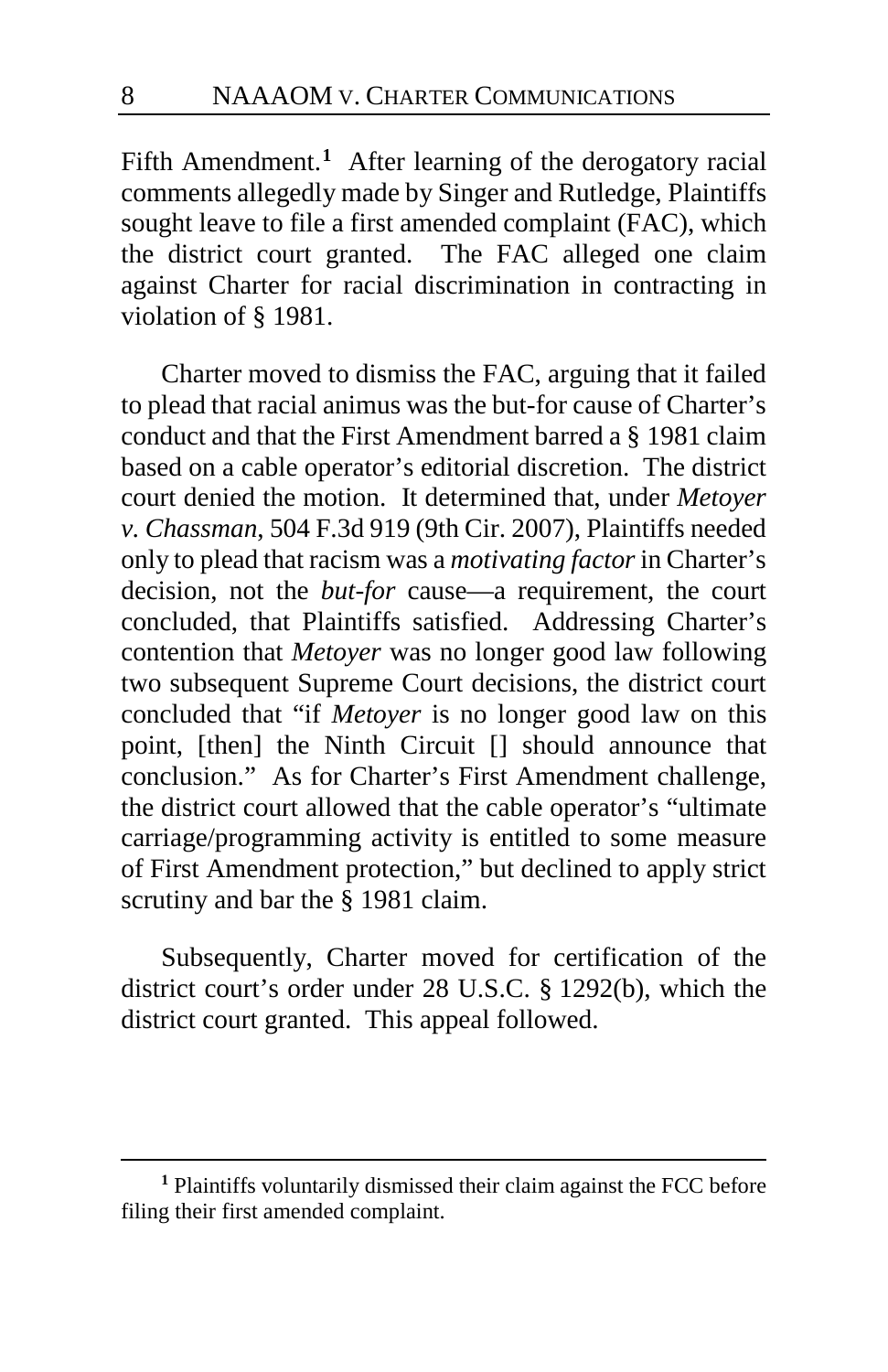Fifth Amendment.<sup>[1](#page-7-0)</sup> After learning of the derogatory racial comments allegedly made by Singer and Rutledge, Plaintiffs sought leave to file a first amended complaint (FAC), which the district court granted. The FAC alleged one claim against Charter for racial discrimination in contracting in violation of § 1981.

Charter moved to dismiss the FAC, arguing that it failed to plead that racial animus was the but-for cause of Charter's conduct and that the First Amendment barred a § 1981 claim based on a cable operator's editorial discretion. The district court denied the motion. It determined that, under *Metoyer v. Chassman*, 504 F.3d 919 (9th Cir. 2007), Plaintiffs needed only to plead that racism was a *motivating factor*in Charter's decision, not the *but-for* cause—a requirement, the court concluded, that Plaintiffs satisfied. Addressing Charter's contention that *Metoyer* was no longer good law following two subsequent Supreme Court decisions, the district court concluded that "if *Metoyer* is no longer good law on this point, [then] the Ninth Circuit [] should announce that conclusion." As for Charter's First Amendment challenge, the district court allowed that the cable operator's "ultimate carriage/programming activity is entitled to some measure of First Amendment protection," but declined to apply strict scrutiny and bar the § 1981 claim.

Subsequently, Charter moved for certification of the district court's order under 28 U.S.C. § 1292(b), which the district court granted. This appeal followed.

<span id="page-7-0"></span>**<sup>1</sup>** Plaintiffs voluntarily dismissed their claim against the FCC before filing their first amended complaint.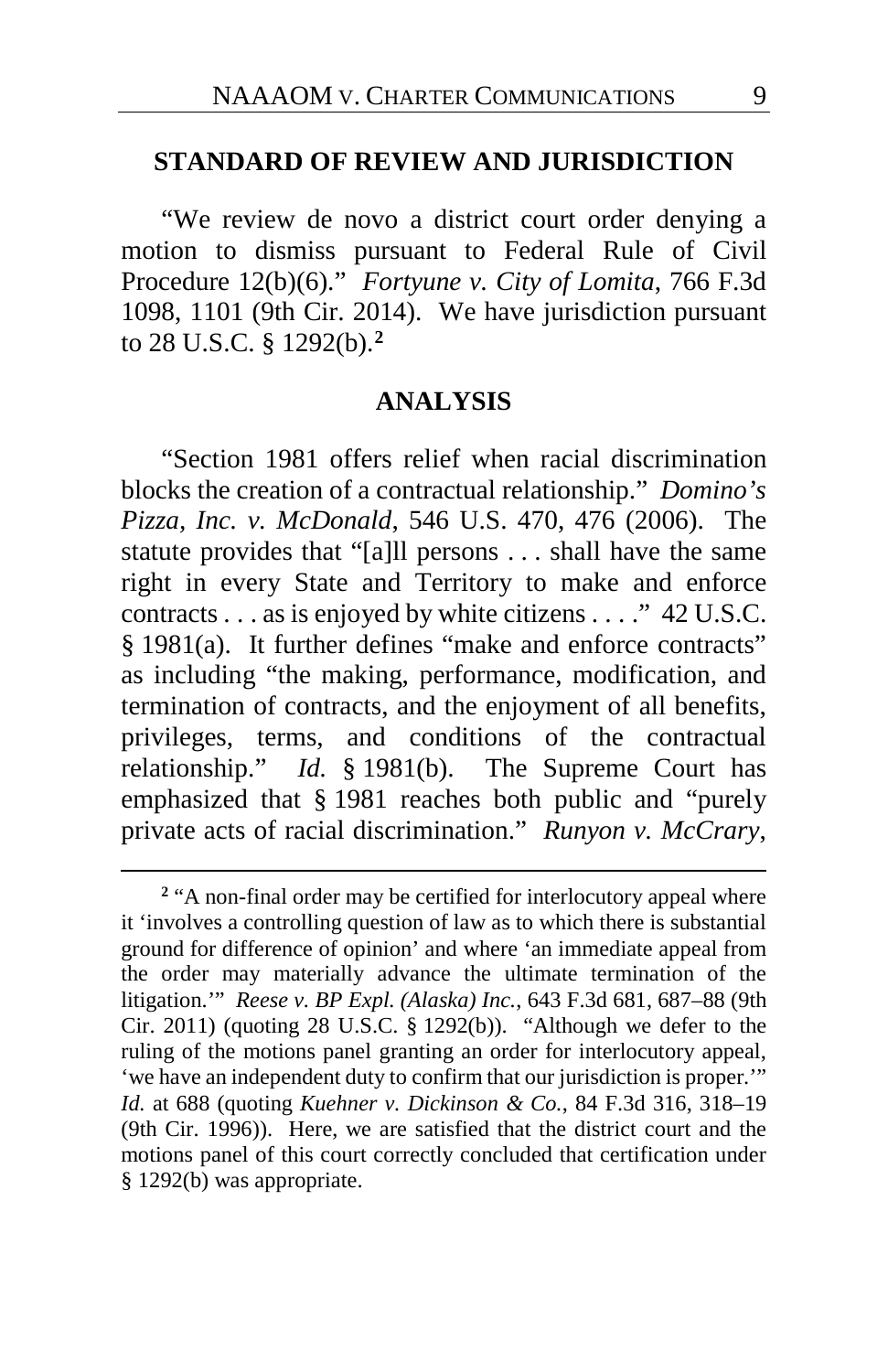#### **STANDARD OF REVIEW AND JURISDICTION**

"We review de novo a district court order denying a motion to dismiss pursuant to Federal Rule of Civil Procedure 12(b)(6)." *Fortyune v. City of Lomita*, 766 F.3d 1098, 1101 (9th Cir. 2014). We have jurisdiction pursuant to 28 U.S.C. § 1292(b).**[2](#page-8-0)**

#### **ANALYSIS**

"Section 1981 offers relief when racial discrimination blocks the creation of a contractual relationship." *Domino's Pizza, Inc. v. McDonald*, 546 U.S. 470, 476 (2006). The statute provides that "[a]ll persons . . . shall have the same right in every State and Territory to make and enforce contracts . . . as is enjoyed by white citizens . . . ." 42 U.S.C. § 1981(a). It further defines "make and enforce contracts" as including "the making, performance, modification, and termination of contracts, and the enjoyment of all benefits, privileges, terms, and conditions of the contractual relationship." *Id.* § 1981(b). The Supreme Court has emphasized that § 1981 reaches both public and "purely private acts of racial discrimination." *Runyon v. McCrary*,

<span id="page-8-0"></span><sup>&</sup>lt;sup>2</sup> "A non-final order may be certified for interlocutory appeal where it 'involves a controlling question of law as to which there is substantial ground for difference of opinion' and where 'an immediate appeal from the order may materially advance the ultimate termination of the litigation.'" *Reese v. BP Expl. (Alaska) Inc.*, 643 F.3d 681, 687–88 (9th Cir. 2011) (quoting 28 U.S.C. § 1292(b)). "Although we defer to the ruling of the motions panel granting an order for interlocutory appeal, 'we have an independent duty to confirm that our jurisdiction is proper.'" *Id.* at 688 (quoting *Kuehner v. Dickinson & Co.*, 84 F.3d 316, 318–19 (9th Cir. 1996)). Here, we are satisfied that the district court and the motions panel of this court correctly concluded that certification under § 1292(b) was appropriate.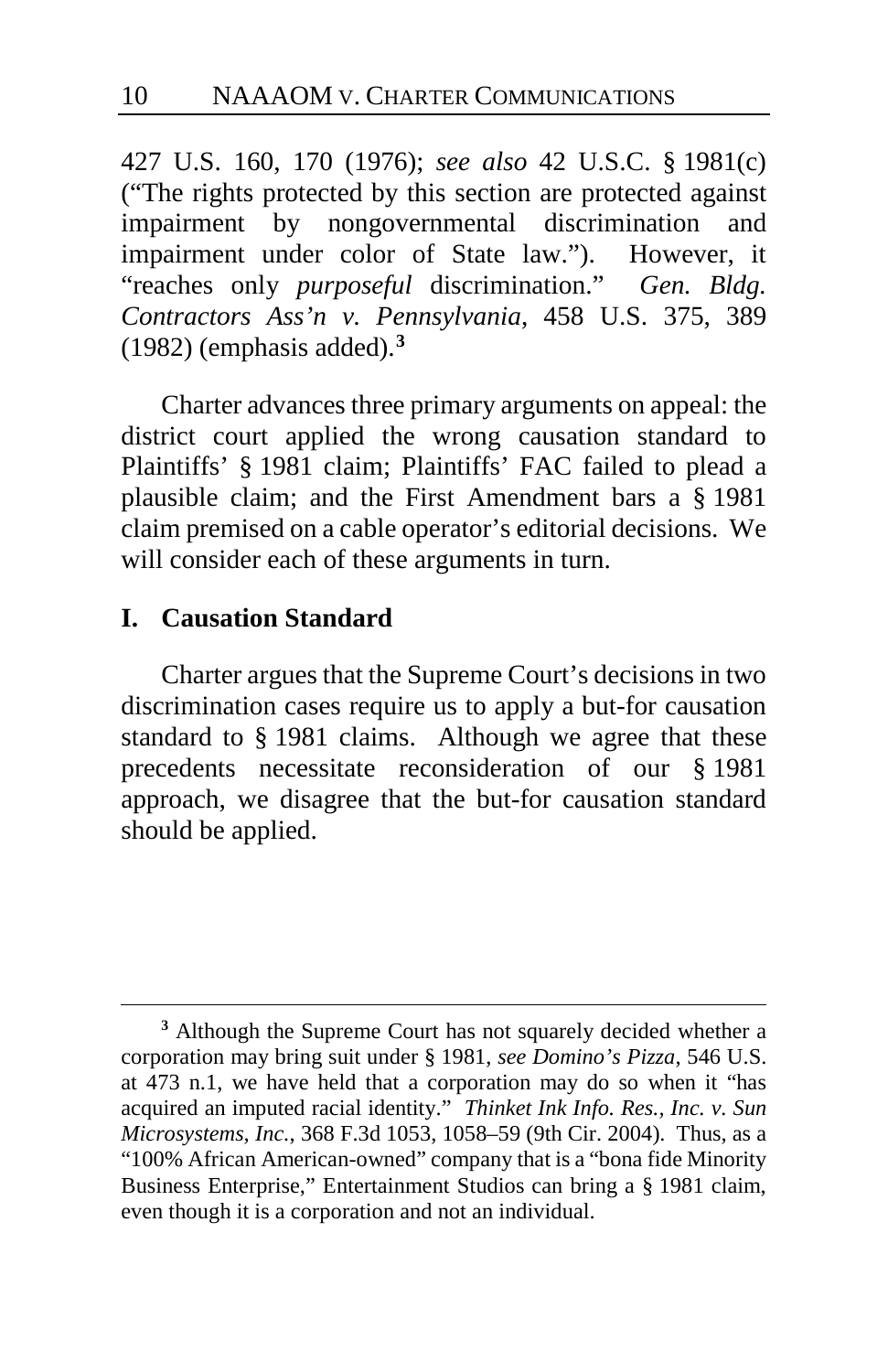427 U.S. 160, 170 (1976); *see also* 42 U.S.C. § 1981(c) ("The rights protected by this section are protected against impairment by nongovernmental discrimination and impairment under color of State law."). However, it "reaches only *purposeful* discrimination." *Gen. Bldg. Contractors Ass'n v. Pennsylvania*, 458 U.S. 375, 389 (1982) (emphasis added).**[3](#page-9-0)**

Charter advances three primary arguments on appeal: the district court applied the wrong causation standard to Plaintiffs' § 1981 claim; Plaintiffs' FAC failed to plead a plausible claim; and the First Amendment bars a § 1981 claim premised on a cable operator's editorial decisions. We will consider each of these arguments in turn.

#### **I. Causation Standard**

 $\overline{a}$ 

Charter argues that the Supreme Court's decisions in two discrimination cases require us to apply a but-for causation standard to § 1981 claims. Although we agree that these precedents necessitate reconsideration of our § 1981 approach, we disagree that the but-for causation standard should be applied.

<span id="page-9-0"></span>**<sup>3</sup>** Although the Supreme Court has not squarely decided whether a corporation may bring suit under § 1981, *see Domino's Pizza*, 546 U.S. at 473 n.1, we have held that a corporation may do so when it "has acquired an imputed racial identity." *Thinket Ink Info. Res., Inc. v. Sun Microsystems, Inc.*, 368 F.3d 1053, 1058–59 (9th Cir. 2004). Thus, as a "100% African American-owned" company that is a "bona fide Minority Business Enterprise," Entertainment Studios can bring a § 1981 claim, even though it is a corporation and not an individual.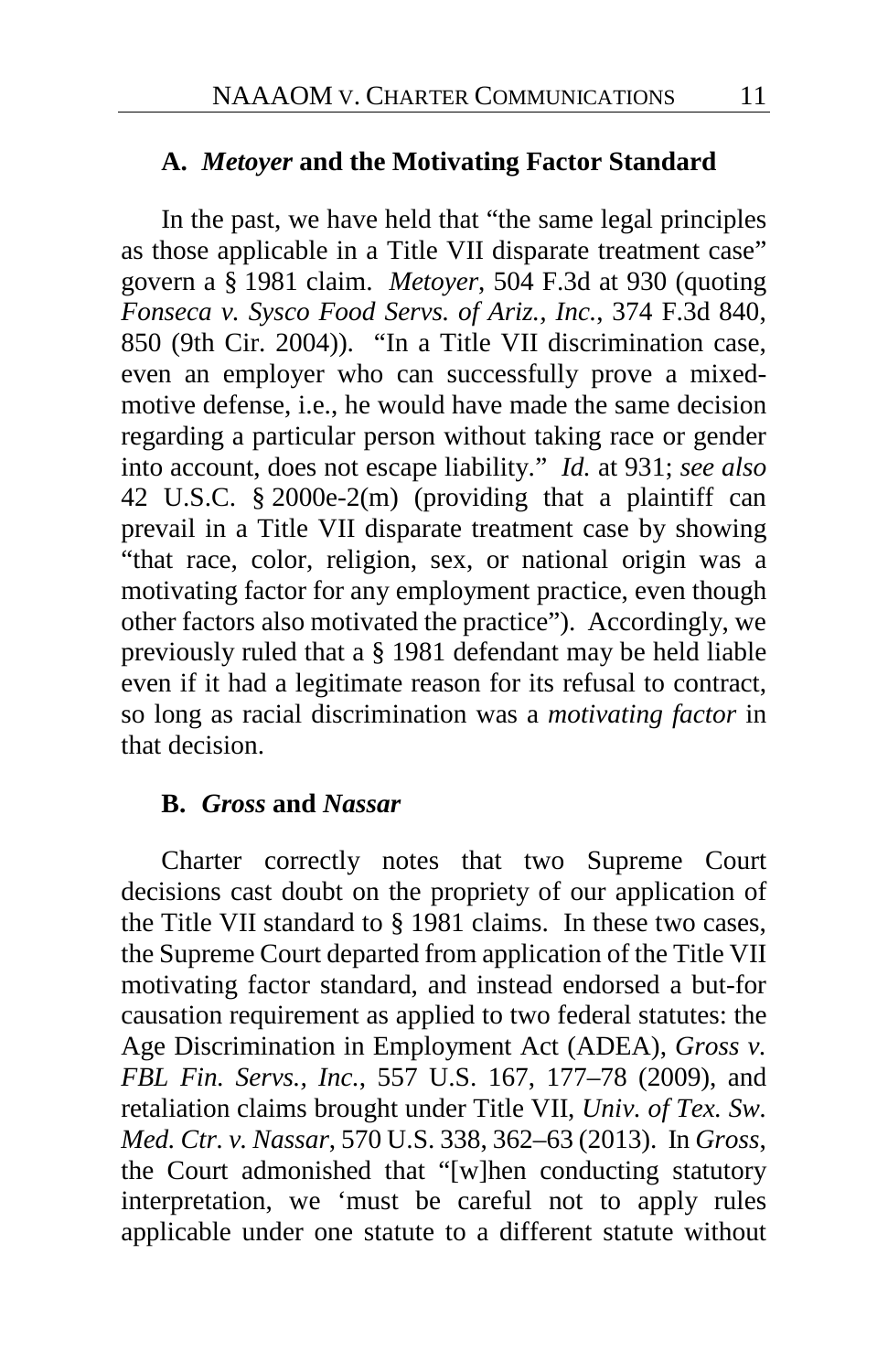#### **A.** *Metoyer* **and the Motivating Factor Standard**

In the past, we have held that "the same legal principles as those applicable in a Title VII disparate treatment case" govern a § 1981 claim. *Metoyer*, 504 F.3d at 930 (quoting *Fonseca v. Sysco Food Servs. of Ariz., Inc.*, 374 F.3d 840, 850 (9th Cir. 2004)). "In a Title VII discrimination case, even an employer who can successfully prove a mixedmotive defense, i.e., he would have made the same decision regarding a particular person without taking race or gender into account, does not escape liability." *Id.* at 931; *see also* 42 U.S.C. § 2000e-2(m) (providing that a plaintiff can prevail in a Title VII disparate treatment case by showing "that race, color, religion, sex, or national origin was a motivating factor for any employment practice, even though other factors also motivated the practice"). Accordingly, we previously ruled that a § 1981 defendant may be held liable even if it had a legitimate reason for its refusal to contract, so long as racial discrimination was a *motivating factor* in that decision.

#### **B.** *Gross* **and** *Nassar*

Charter correctly notes that two Supreme Court decisions cast doubt on the propriety of our application of the Title VII standard to § 1981 claims. In these two cases, the Supreme Court departed from application of the Title VII motivating factor standard, and instead endorsed a but-for causation requirement as applied to two federal statutes: the Age Discrimination in Employment Act (ADEA), *Gross v. FBL Fin. Servs., Inc.*, 557 U.S. 167, 177–78 (2009), and retaliation claims brought under Title VII, *Univ. of Tex. Sw. Med. Ctr. v. Nassar*, 570 U.S. 338, 362–63 (2013). In *Gross*, the Court admonished that "[w]hen conducting statutory interpretation, we 'must be careful not to apply rules applicable under one statute to a different statute without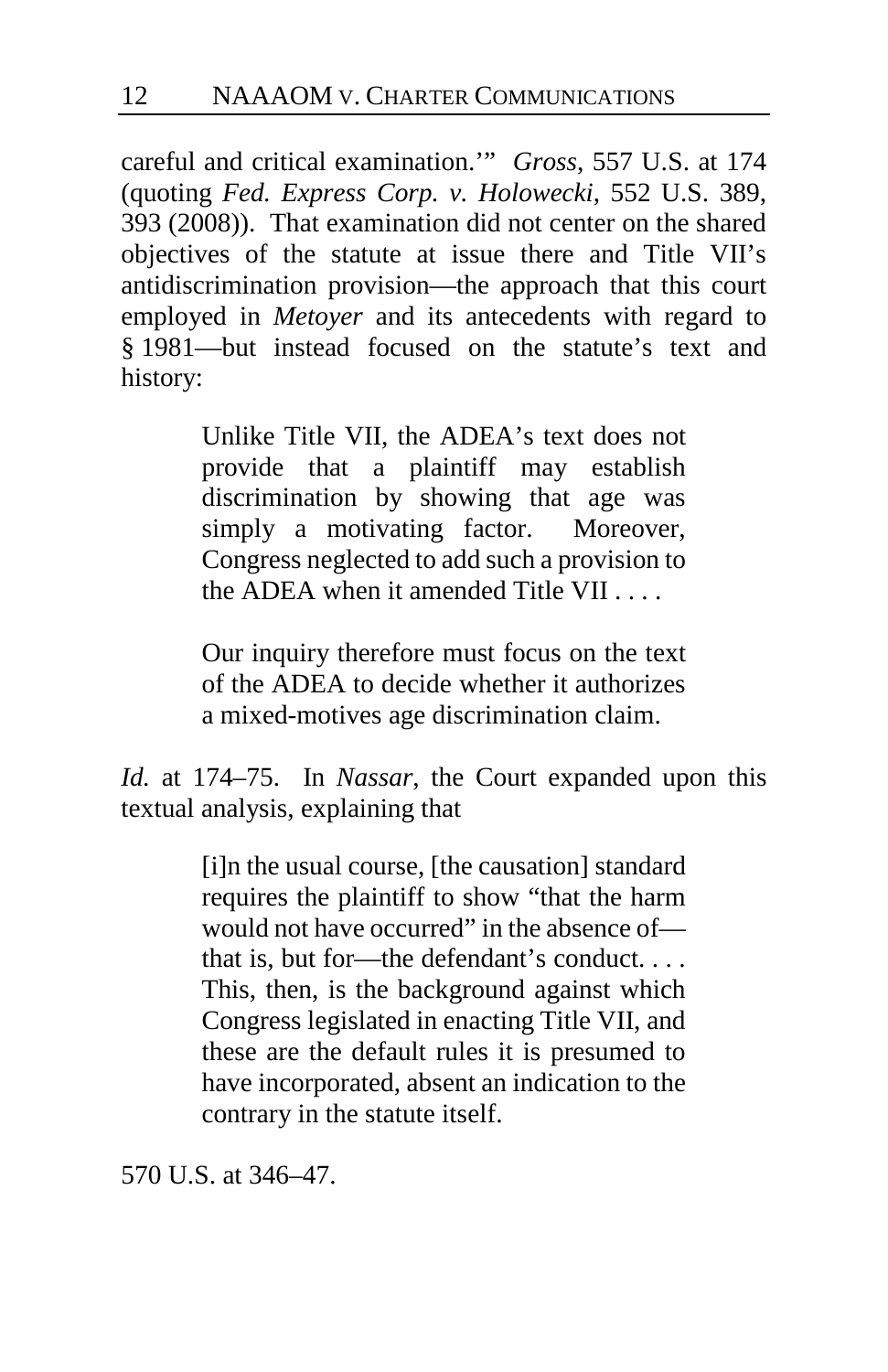careful and critical examination.'" *Gross*, 557 U.S. at 174 (quoting *Fed. Express Corp. v. Holowecki*, 552 U.S. 389, 393 (2008)). That examination did not center on the shared objectives of the statute at issue there and Title VII's antidiscrimination provision—the approach that this court employed in *Metoyer* and its antecedents with regard to § 1981—but instead focused on the statute's text and history:

> Unlike Title VII, the ADEA's text does not provide that a plaintiff may establish discrimination by showing that age was simply a motivating factor. Moreover, Congress neglected to add such a provision to the ADEA when it amended Title VII

> Our inquiry therefore must focus on the text of the ADEA to decide whether it authorizes a mixed-motives age discrimination claim.

*Id.* at 174–75. In *Nassar*, the Court expanded upon this textual analysis, explaining that

> [i]n the usual course, [the causation] standard requires the plaintiff to show "that the harm would not have occurred" in the absence of that is, but for—the defendant's conduct. . . . This, then, is the background against which Congress legislated in enacting Title VII, and these are the default rules it is presumed to have incorporated, absent an indication to the contrary in the statute itself.

570 U.S. at 346–47.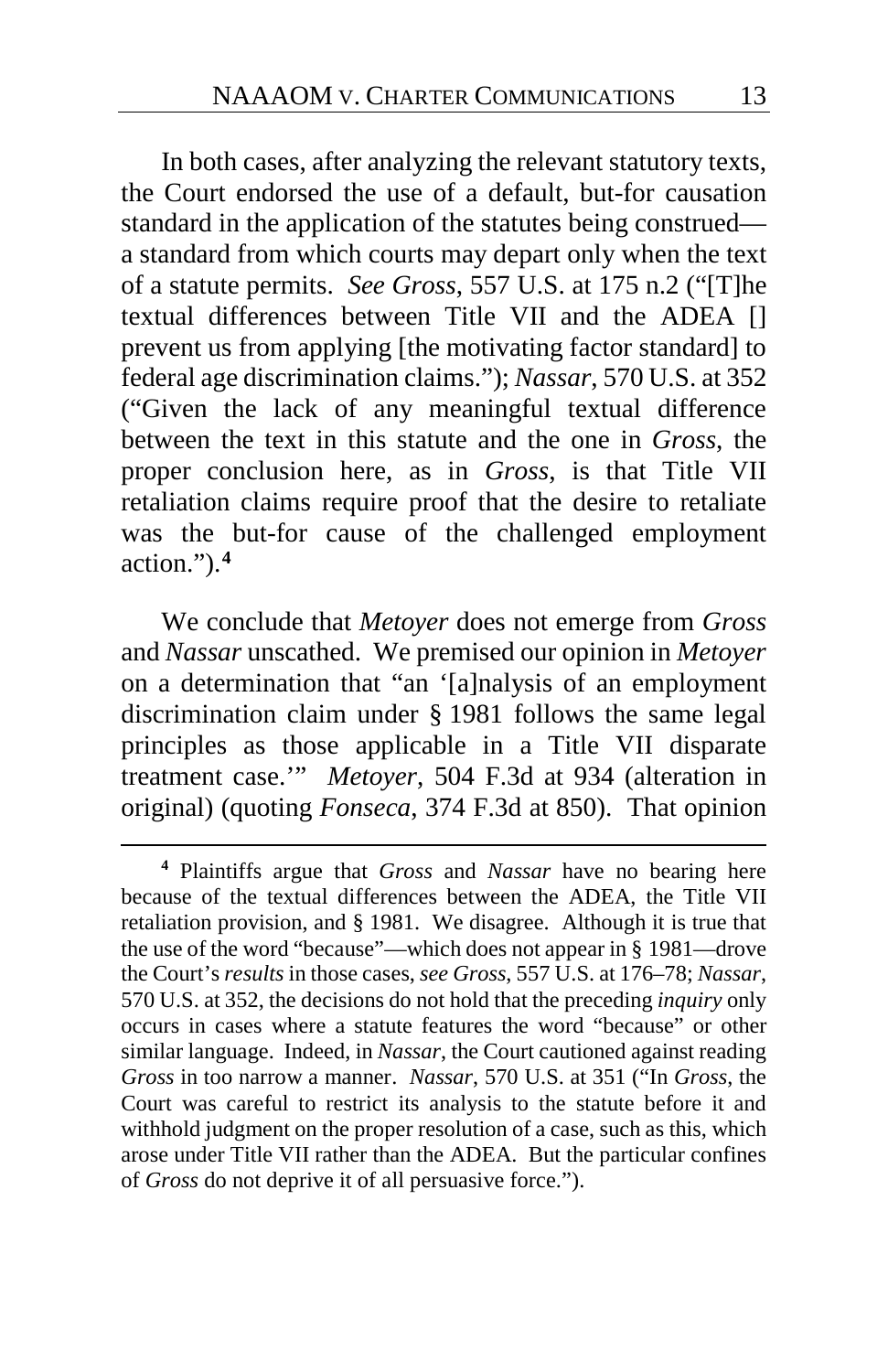In both cases, after analyzing the relevant statutory texts, the Court endorsed the use of a default, but-for causation standard in the application of the statutes being construed a standard from which courts may depart only when the text of a statute permits. *See Gross*, 557 U.S. at 175 n.2 ("[T]he textual differences between Title VII and the ADEA [] prevent us from applying [the motivating factor standard] to federal age discrimination claims."); *Nassar*, 570 U.S. at 352 ("Given the lack of any meaningful textual difference between the text in this statute and the one in *Gross*, the proper conclusion here, as in *Gross*, is that Title VII retaliation claims require proof that the desire to retaliate was the but-for cause of the challenged employment action.").**[4](#page-12-0)**

We conclude that *Metoyer* does not emerge from *Gross* and *Nassar* unscathed. We premised our opinion in *Metoyer* on a determination that "an '[a]nalysis of an employment discrimination claim under § 1981 follows the same legal principles as those applicable in a Title VII disparate treatment case.'" *Metoyer*, 504 F.3d at 934 (alteration in original) (quoting *Fonseca*, 374 F.3d at 850). That opinion

<span id="page-12-0"></span>**<sup>4</sup>** Plaintiffs argue that *Gross* and *Nassar* have no bearing here because of the textual differences between the ADEA, the Title VII retaliation provision, and § 1981. We disagree. Although it is true that the use of the word "because"—which does not appear in § 1981—drove the Court's *results* in those cases, *see Gross*, 557 U.S. at 176–78; *Nassar*, 570 U.S. at 352, the decisions do not hold that the preceding *inquiry* only occurs in cases where a statute features the word "because" or other similar language. Indeed, in *Nassar*, the Court cautioned against reading *Gross* in too narrow a manner. *Nassar*, 570 U.S. at 351 ("In *Gross*, the Court was careful to restrict its analysis to the statute before it and withhold judgment on the proper resolution of a case, such as this, which arose under Title VII rather than the ADEA. But the particular confines of *Gross* do not deprive it of all persuasive force.").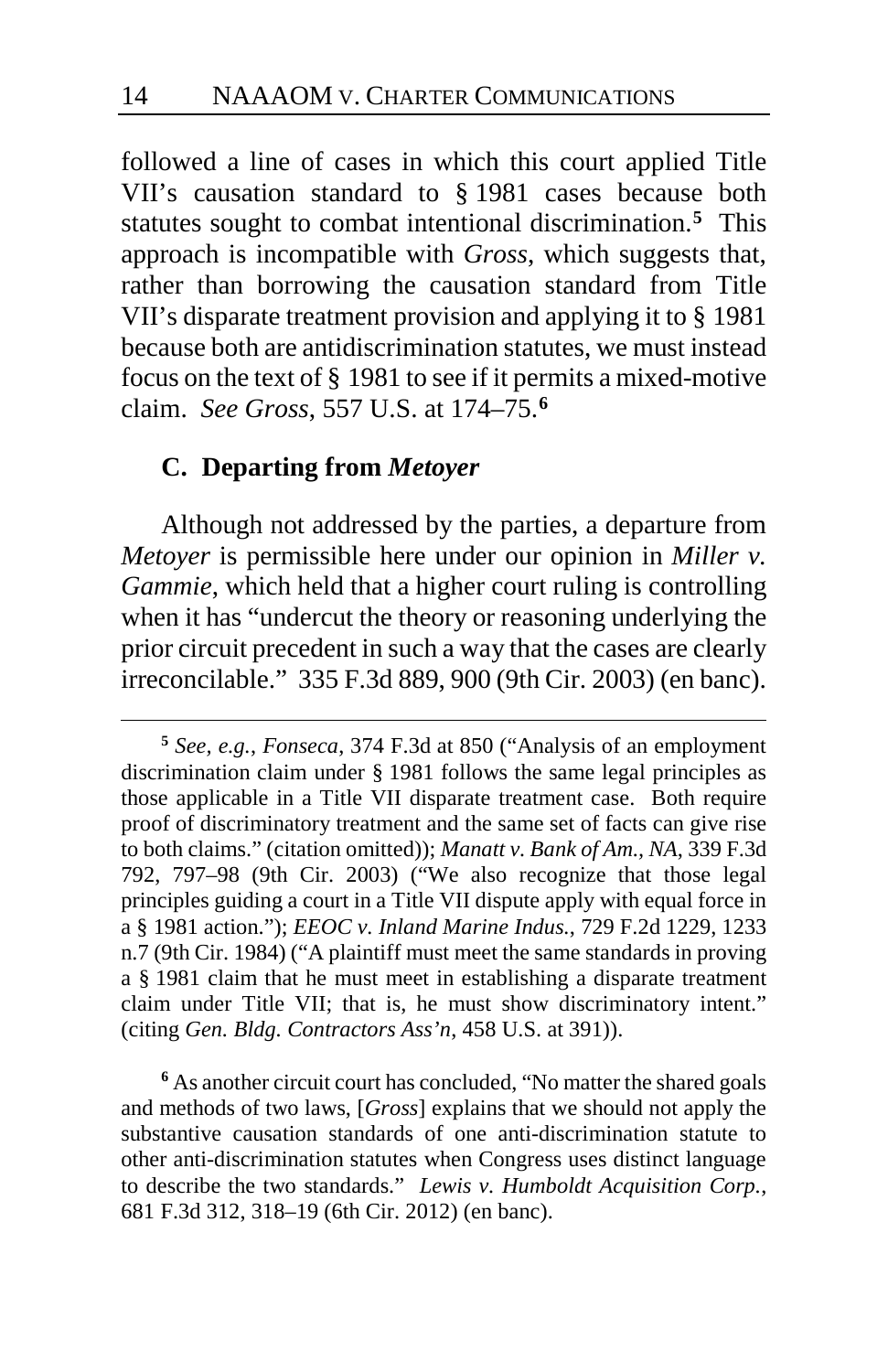followed a line of cases in which this court applied Title VII's causation standard to § 1981 cases because both statutes sought to combat intentional discrimination.**[5](#page-13-0)** This approach is incompatible with *Gross*, which suggests that, rather than borrowing the causation standard from Title VII's disparate treatment provision and applying it to § 1981 because both are antidiscrimination statutes, we must instead focus on the text of § 1981 to see if it permits a mixed-motive claim. *See Gross*, 557 U.S. at 174–75.**[6](#page-13-1)**

#### **C. Departing from** *Metoyer*

 $\overline{a}$ 

Although not addressed by the parties, a departure from *Metoyer* is permissible here under our opinion in *Miller v. Gammie*, which held that a higher court ruling is controlling when it has "undercut the theory or reasoning underlying the prior circuit precedent in such a way that the cases are clearly irreconcilable." 335 F.3d 889, 900 (9th Cir. 2003) (en banc).

<span id="page-13-1"></span>**<sup>6</sup>** As another circuit court has concluded, "No matter the shared goals and methods of two laws, [*Gross*] explains that we should not apply the substantive causation standards of one anti-discrimination statute to other anti-discrimination statutes when Congress uses distinct language to describe the two standards." *Lewis v. Humboldt Acquisition Corp.*, 681 F.3d 312, 318–19 (6th Cir. 2012) (en banc).

<span id="page-13-0"></span>**<sup>5</sup>** *See, e.g.*, *Fonseca*, 374 F.3d at 850 ("Analysis of an employment discrimination claim under § 1981 follows the same legal principles as those applicable in a Title VII disparate treatment case. Both require proof of discriminatory treatment and the same set of facts can give rise to both claims." (citation omitted)); *Manatt v. Bank of Am., NA*, 339 F.3d 792, 797–98 (9th Cir. 2003) ("We also recognize that those legal principles guiding a court in a Title VII dispute apply with equal force in a § 1981 action."); *EEOC v. Inland Marine Indus.*, 729 F.2d 1229, 1233 n.7 (9th Cir. 1984) ("A plaintiff must meet the same standards in proving a § 1981 claim that he must meet in establishing a disparate treatment claim under Title VII; that is, he must show discriminatory intent." (citing *Gen. Bldg. Contractors Ass'n*, 458 U.S. at 391)).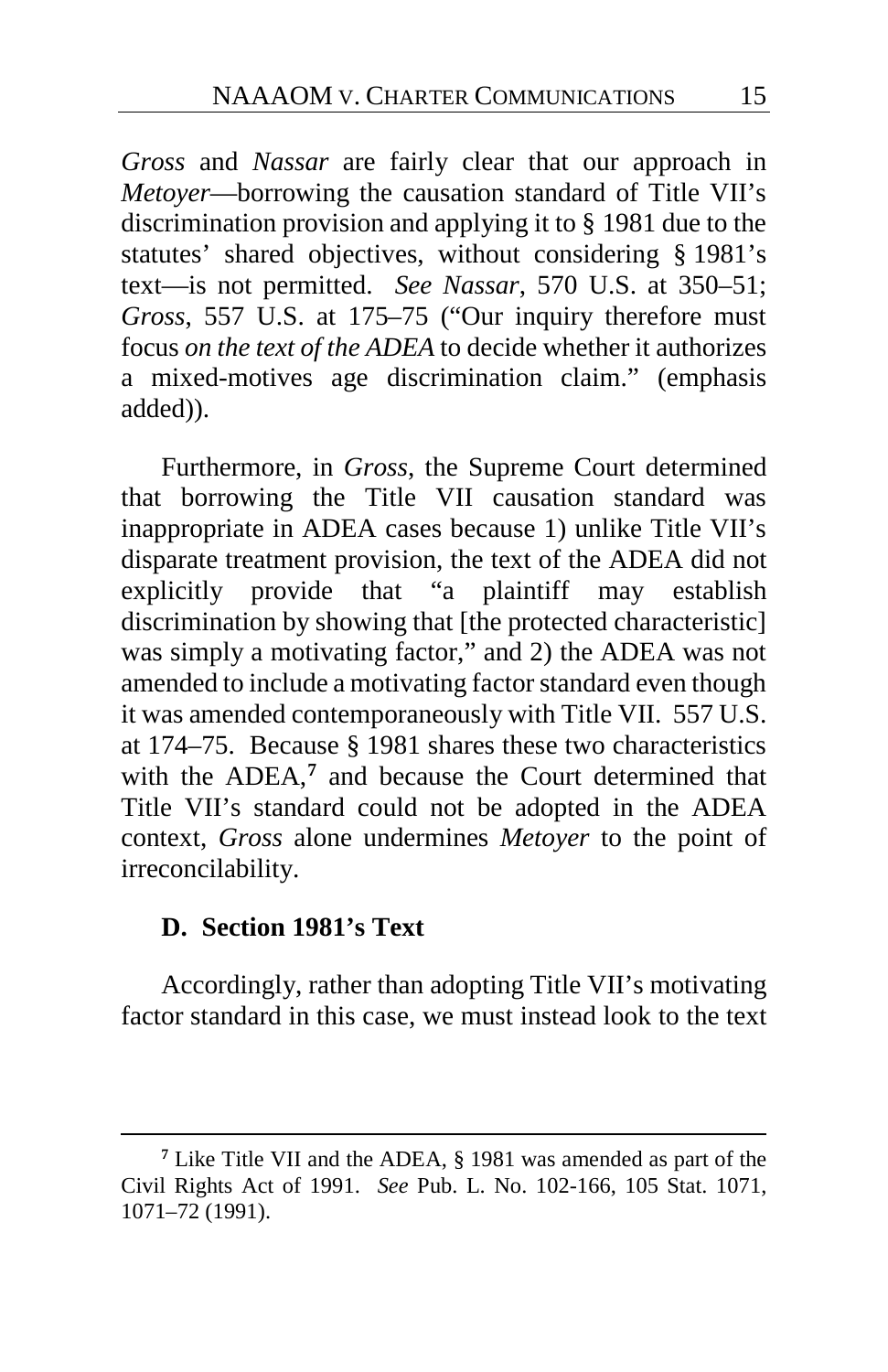*Gross* and *Nassar* are fairly clear that our approach in *Metoyer*—borrowing the causation standard of Title VII's discrimination provision and applying it to § 1981 due to the statutes' shared objectives, without considering § 1981's text—is not permitted. *See Nassar*, 570 U.S. at 350–51; *Gross*, 557 U.S. at 175–75 ("Our inquiry therefore must focus *on the text of the ADEA* to decide whether it authorizes a mixed-motives age discrimination claim." (emphasis added)).

Furthermore, in *Gross*, the Supreme Court determined that borrowing the Title VII causation standard was inappropriate in ADEA cases because 1) unlike Title VII's disparate treatment provision, the text of the ADEA did not explicitly provide that "a plaintiff may establish discrimination by showing that [the protected characteristic] was simply a motivating factor," and 2) the ADEA was not amended to include a motivating factor standard even though it was amended contemporaneously with Title VII. 557 U.S. at 174–75. Because § 1981 shares these two characteristics with the ADEA,<sup>[7](#page-14-0)</sup> and because the Court determined that Title VII's standard could not be adopted in the ADEA context, *Gross* alone undermines *Metoyer* to the point of irreconcilability.

### **D. Section 1981's Text**

 $\overline{a}$ 

Accordingly, rather than adopting Title VII's motivating factor standard in this case, we must instead look to the text

<span id="page-14-0"></span>**<sup>7</sup>** Like Title VII and the ADEA, § 1981 was amended as part of the Civil Rights Act of 1991. *See* Pub. L. No. 102-166, 105 Stat. 1071, 1071–72 (1991).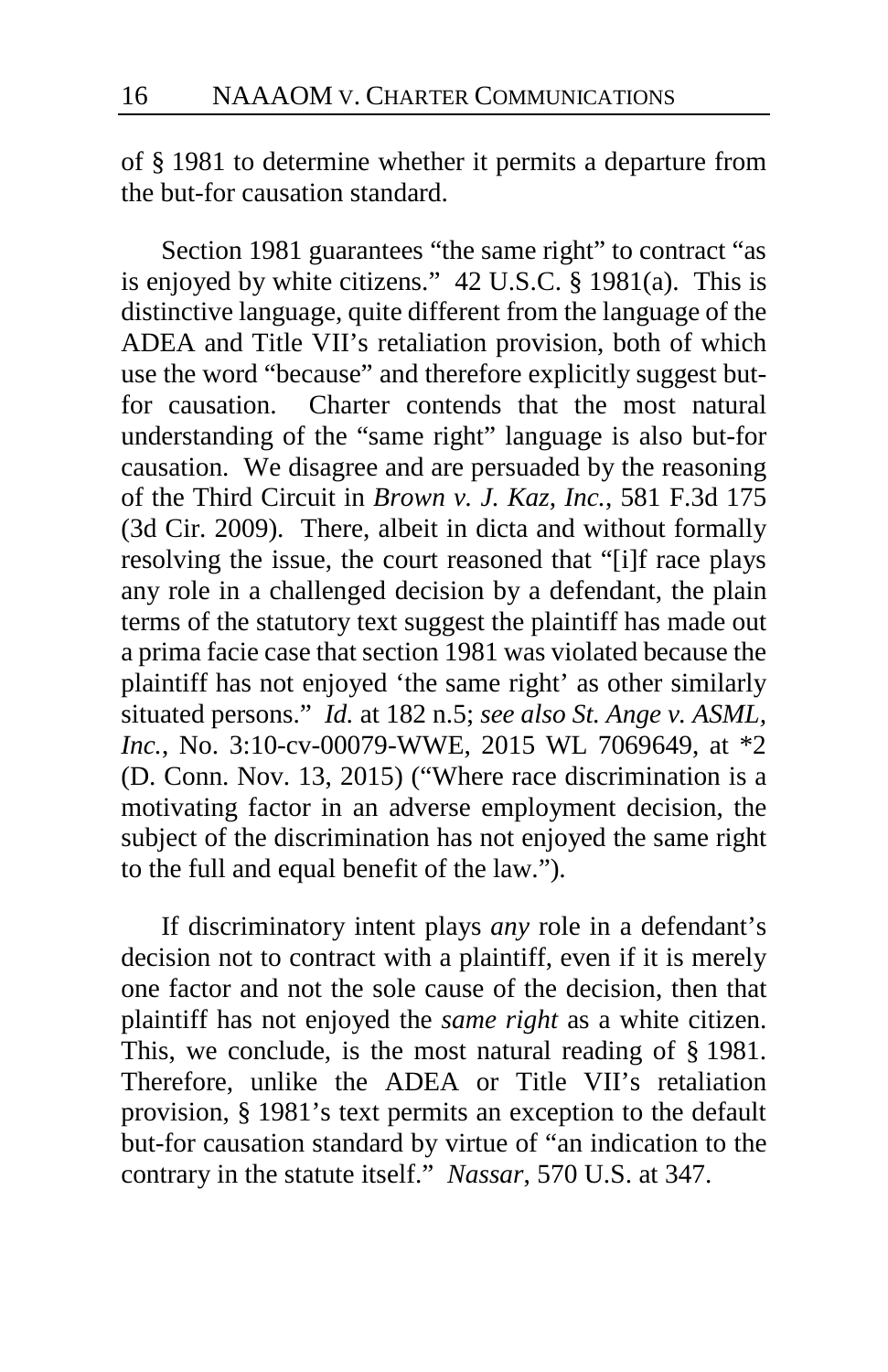of § 1981 to determine whether it permits a departure from the but-for causation standard.

Section 1981 guarantees "the same right" to contract "as is enjoyed by white citizens." 42 U.S.C. § 1981(a). This is distinctive language, quite different from the language of the ADEA and Title VII's retaliation provision, both of which use the word "because" and therefore explicitly suggest butfor causation. Charter contends that the most natural understanding of the "same right" language is also but-for causation. We disagree and are persuaded by the reasoning of the Third Circuit in *Brown v. J. Kaz, Inc.*, 581 F.3d 175 (3d Cir. 2009). There, albeit in dicta and without formally resolving the issue, the court reasoned that "[i]f race plays any role in a challenged decision by a defendant, the plain terms of the statutory text suggest the plaintiff has made out a prima facie case that section 1981 was violated because the plaintiff has not enjoyed 'the same right' as other similarly situated persons." *Id.* at 182 n.5; *see also St. Ange v. ASML, Inc.*, No. 3:10-cv-00079-WWE, 2015 WL 7069649, at \*2 (D. Conn. Nov. 13, 2015) ("Where race discrimination is a motivating factor in an adverse employment decision, the subject of the discrimination has not enjoyed the same right to the full and equal benefit of the law.").

If discriminatory intent plays *any* role in a defendant's decision not to contract with a plaintiff, even if it is merely one factor and not the sole cause of the decision, then that plaintiff has not enjoyed the *same right* as a white citizen. This, we conclude, is the most natural reading of § 1981. Therefore, unlike the ADEA or Title VII's retaliation provision, § 1981's text permits an exception to the default but-for causation standard by virtue of "an indication to the contrary in the statute itself." *Nassar*, 570 U.S. at 347.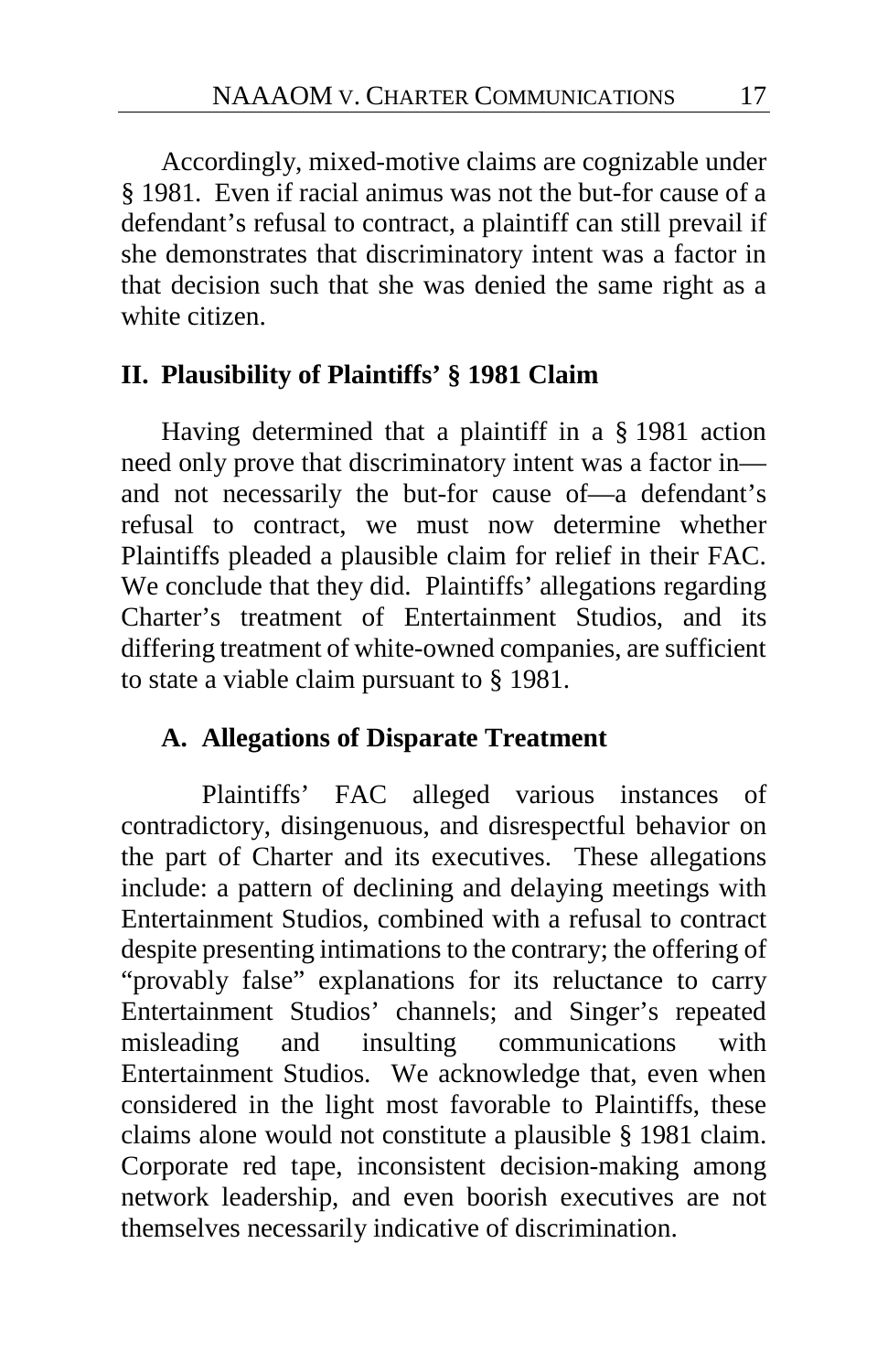Accordingly, mixed-motive claims are cognizable under § 1981. Even if racial animus was not the but-for cause of a defendant's refusal to contract, a plaintiff can still prevail if she demonstrates that discriminatory intent was a factor in that decision such that she was denied the same right as a white citizen.

### **II. Plausibility of Plaintiffs' § 1981 Claim**

Having determined that a plaintiff in a § 1981 action need only prove that discriminatory intent was a factor in and not necessarily the but-for cause of—a defendant's refusal to contract, we must now determine whether Plaintiffs pleaded a plausible claim for relief in their FAC. We conclude that they did. Plaintiffs' allegations regarding Charter's treatment of Entertainment Studios, and its differing treatment of white-owned companies, are sufficient to state a viable claim pursuant to § 1981.

## **A. Allegations of Disparate Treatment**

Plaintiffs' FAC alleged various instances of contradictory, disingenuous, and disrespectful behavior on the part of Charter and its executives. These allegations include: a pattern of declining and delaying meetings with Entertainment Studios, combined with a refusal to contract despite presenting intimations to the contrary; the offering of "provably false" explanations for its reluctance to carry Entertainment Studios' channels; and Singer's repeated misleading and insulting communications with Entertainment Studios. We acknowledge that, even when considered in the light most favorable to Plaintiffs, these claims alone would not constitute a plausible § 1981 claim. Corporate red tape, inconsistent decision-making among network leadership, and even boorish executives are not themselves necessarily indicative of discrimination.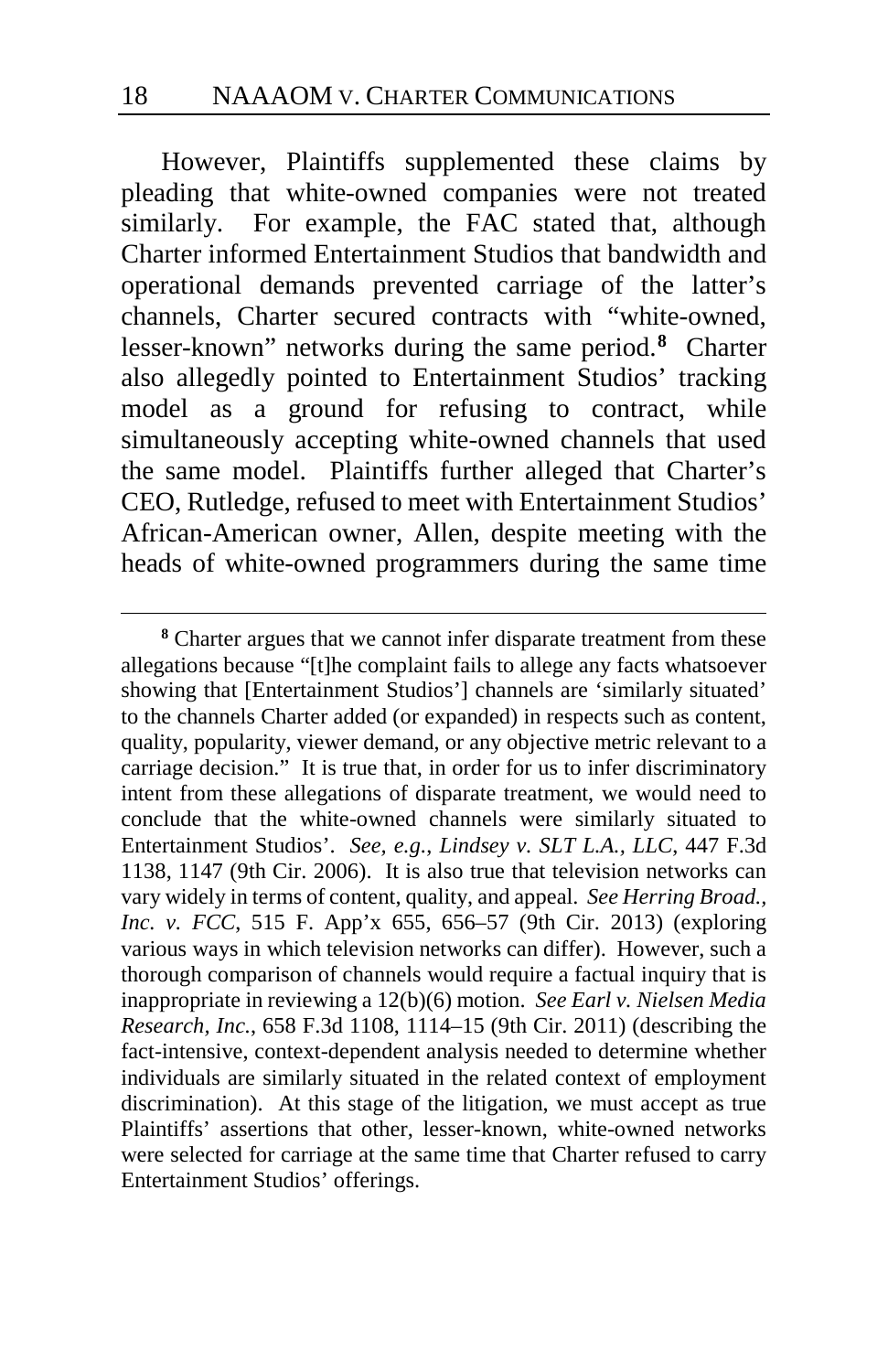However, Plaintiffs supplemented these claims by pleading that white-owned companies were not treated similarly. For example, the FAC stated that, although Charter informed Entertainment Studios that bandwidth and operational demands prevented carriage of the latter's channels, Charter secured contracts with "white-owned, lesser-known" networks during the same period.**[8](#page-17-0)** Charter also allegedly pointed to Entertainment Studios' tracking model as a ground for refusing to contract, while simultaneously accepting white-owned channels that used the same model. Plaintiffs further alleged that Charter's CEO, Rutledge, refused to meet with Entertainment Studios' African-American owner, Allen, despite meeting with the heads of white-owned programmers during the same time

<span id="page-17-0"></span>**<sup>8</sup>** Charter argues that we cannot infer disparate treatment from these allegations because "[t]he complaint fails to allege any facts whatsoever showing that [Entertainment Studios'] channels are 'similarly situated' to the channels Charter added (or expanded) in respects such as content, quality, popularity, viewer demand, or any objective metric relevant to a carriage decision." It is true that, in order for us to infer discriminatory intent from these allegations of disparate treatment, we would need to conclude that the white-owned channels were similarly situated to Entertainment Studios'. *See, e.g.*, *Lindsey v. SLT L.A., LLC*, 447 F.3d 1138, 1147 (9th Cir. 2006). It is also true that television networks can vary widely in terms of content, quality, and appeal. *See Herring Broad., Inc. v. FCC*, 515 F. App'x 655, 656–57 (9th Cir. 2013) (exploring various ways in which television networks can differ). However, such a thorough comparison of channels would require a factual inquiry that is inappropriate in reviewing a 12(b)(6) motion. *See Earl v. Nielsen Media Research, Inc.*, 658 F.3d 1108, 1114–15 (9th Cir. 2011) (describing the fact-intensive, context-dependent analysis needed to determine whether individuals are similarly situated in the related context of employment discrimination). At this stage of the litigation, we must accept as true Plaintiffs' assertions that other, lesser-known, white-owned networks were selected for carriage at the same time that Charter refused to carry Entertainment Studios' offerings.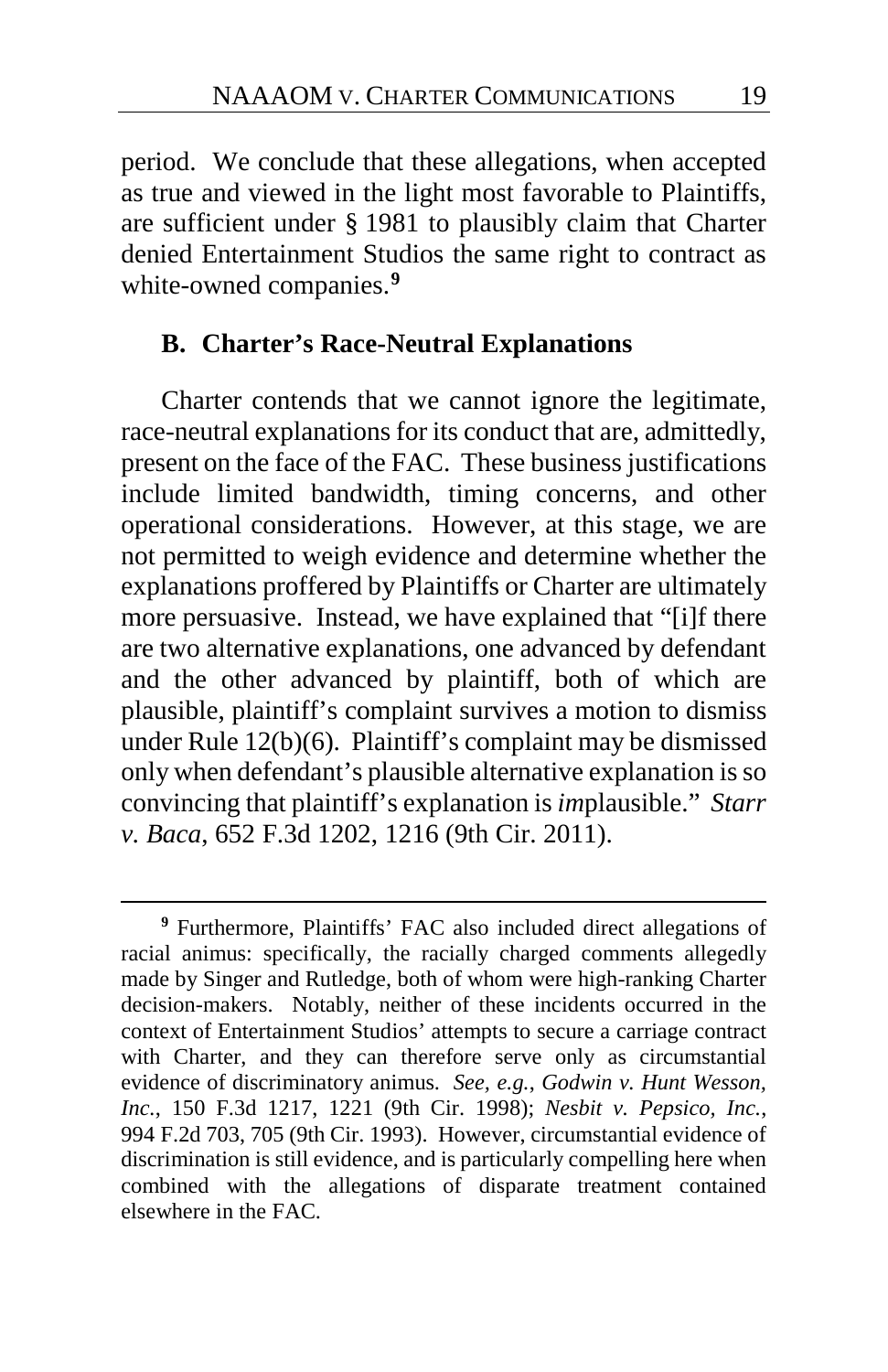period. We conclude that these allegations, when accepted as true and viewed in the light most favorable to Plaintiffs, are sufficient under § 1981 to plausibly claim that Charter denied Entertainment Studios the same right to contract as white-owned companies.**[9](#page-18-0)**

### **B. Charter's Race-Neutral Explanations**

Charter contends that we cannot ignore the legitimate, race-neutral explanations for its conduct that are, admittedly, present on the face of the FAC. These business justifications include limited bandwidth, timing concerns, and other operational considerations. However, at this stage, we are not permitted to weigh evidence and determine whether the explanations proffered by Plaintiffs or Charter are ultimately more persuasive. Instead, we have explained that "[i]f there are two alternative explanations, one advanced by defendant and the other advanced by plaintiff, both of which are plausible, plaintiff's complaint survives a motion to dismiss under Rule 12(b)(6). Plaintiff's complaint may be dismissed only when defendant's plausible alternative explanation is so convincing that plaintiff's explanation is *im*plausible." *Starr v. Baca*, 652 F.3d 1202, 1216 (9th Cir. 2011).

<span id="page-18-0"></span>**<sup>9</sup>** Furthermore, Plaintiffs' FAC also included direct allegations of racial animus: specifically, the racially charged comments allegedly made by Singer and Rutledge, both of whom were high-ranking Charter decision-makers. Notably, neither of these incidents occurred in the context of Entertainment Studios' attempts to secure a carriage contract with Charter, and they can therefore serve only as circumstantial evidence of discriminatory animus. *See, e.g.*, *Godwin v. Hunt Wesson, Inc.*, 150 F.3d 1217, 1221 (9th Cir. 1998); *Nesbit v. Pepsico, Inc.*, 994 F.2d 703, 705 (9th Cir. 1993). However, circumstantial evidence of discrimination is still evidence, and is particularly compelling here when combined with the allegations of disparate treatment contained elsewhere in the FAC.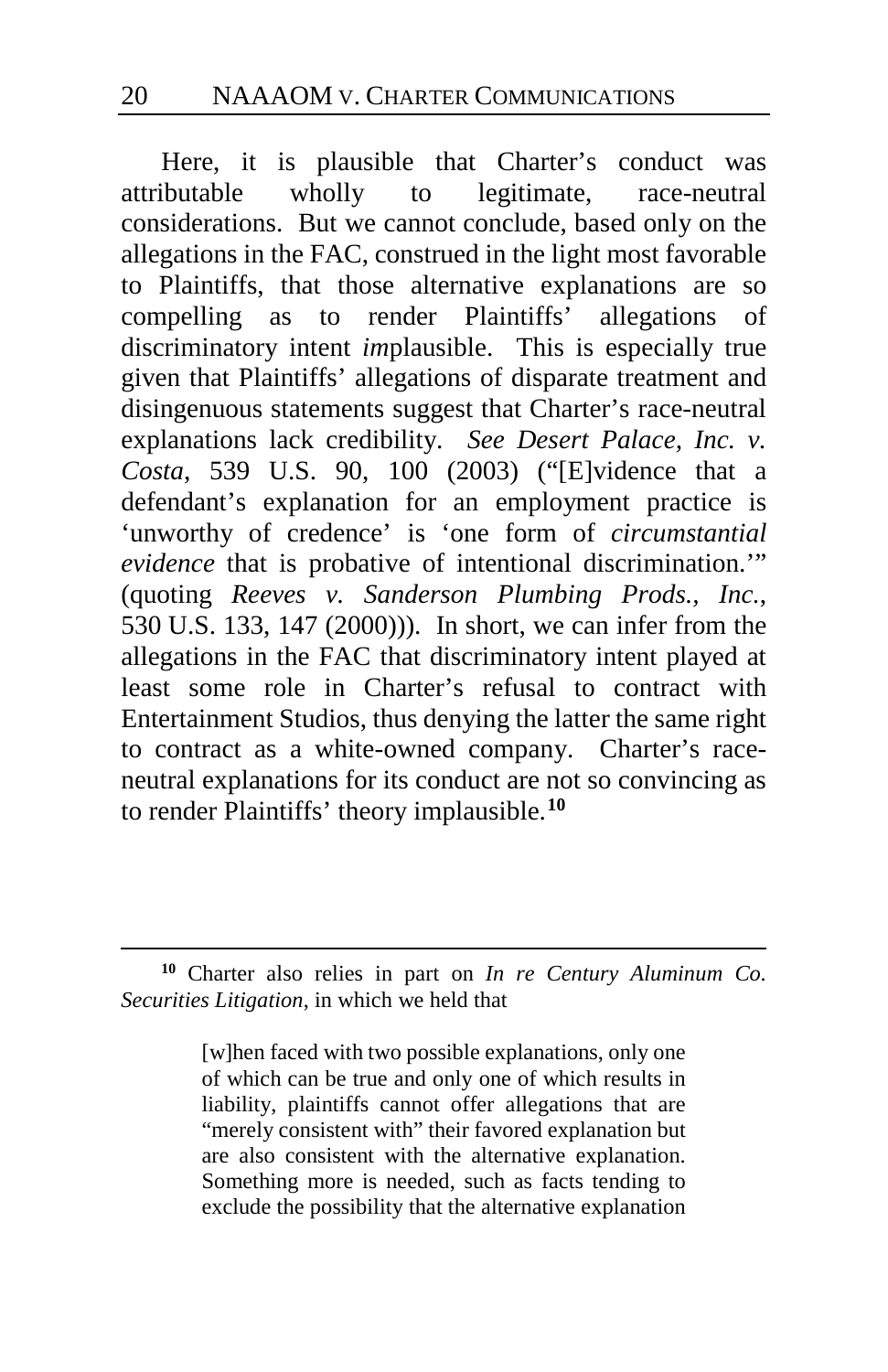Here, it is plausible that Charter's conduct was attributable wholly to legitimate, race-neutral considerations. But we cannot conclude, based only on the allegations in the FAC, construed in the light most favorable to Plaintiffs, that those alternative explanations are so compelling as to render Plaintiffs' allegations of discriminatory intent *im*plausible. This is especially true given that Plaintiffs' allegations of disparate treatment and disingenuous statements suggest that Charter's race-neutral explanations lack credibility. *See Desert Palace, Inc. v. Costa*, 539 U.S. 90, 100 (2003) ("[E]vidence that a defendant's explanation for an employment practice is 'unworthy of credence' is 'one form of *circumstantial evidence* that is probative of intentional discrimination.'" (quoting *Reeves v. Sanderson Plumbing Prods., Inc.*, 530 U.S. 133, 147 (2000))). In short, we can infer from the allegations in the FAC that discriminatory intent played at least some role in Charter's refusal to contract with Entertainment Studios, thus denying the latter the same right to contract as a white-owned company. Charter's raceneutral explanations for its conduct are not so convincing as to render Plaintiffs' theory implausible.**[10](#page-19-0)**

[w]hen faced with two possible explanations, only one of which can be true and only one of which results in liability, plaintiffs cannot offer allegations that are "merely consistent with" their favored explanation but are also consistent with the alternative explanation. Something more is needed, such as facts tending to exclude the possibility that the alternative explanation

<span id="page-19-0"></span>**<sup>10</sup>** Charter also relies in part on *In re Century Aluminum Co. Securities Litigation*, in which we held that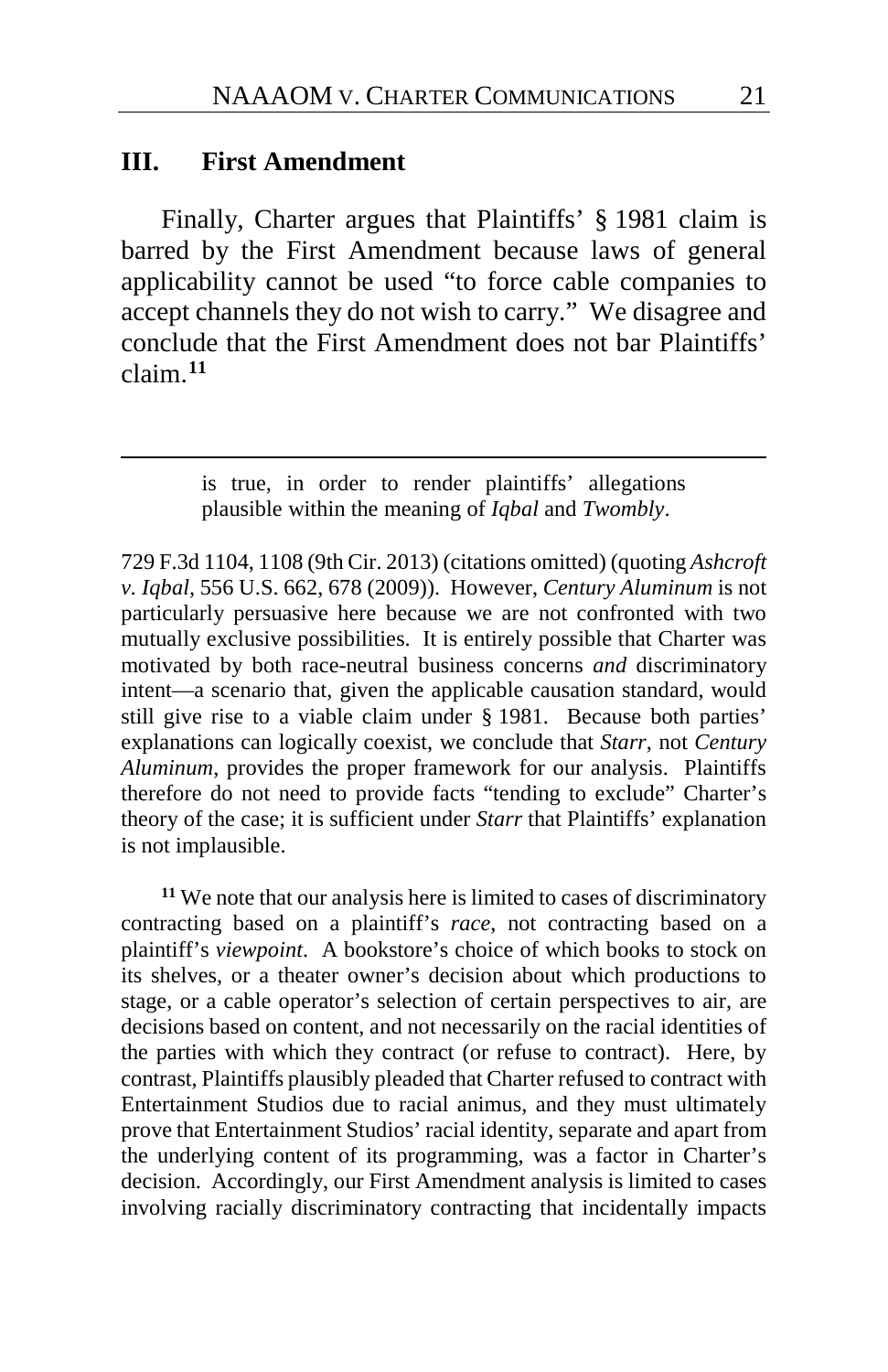#### **III. First Amendment**

Finally, Charter argues that Plaintiffs' § 1981 claim is barred by the First Amendment because laws of general applicability cannot be used "to force cable companies to accept channels they do not wish to carry." We disagree and conclude that the First Amendment does not bar Plaintiffs' claim.**[11](#page-20-0)**

> is true, in order to render plaintiffs' allegations plausible within the meaning of *Iqbal* and *Twombly*.

729 F.3d 1104, 1108 (9th Cir. 2013) (citations omitted) (quoting *Ashcroft v. Iqbal*, 556 U.S. 662, 678 (2009)). However, *Century Aluminum* is not particularly persuasive here because we are not confronted with two mutually exclusive possibilities. It is entirely possible that Charter was motivated by both race-neutral business concerns *and* discriminatory intent—a scenario that, given the applicable causation standard, would still give rise to a viable claim under § 1981. Because both parties' explanations can logically coexist, we conclude that *Starr*, not *Century Aluminum*, provides the proper framework for our analysis. Plaintiffs therefore do not need to provide facts "tending to exclude" Charter's theory of the case; it is sufficient under *Starr* that Plaintiffs' explanation is not implausible.

<span id="page-20-0"></span>**<sup>11</sup>** We note that our analysis here is limited to cases of discriminatory contracting based on a plaintiff's *race*, not contracting based on a plaintiff's *viewpoint*. A bookstore's choice of which books to stock on its shelves, or a theater owner's decision about which productions to stage, or a cable operator's selection of certain perspectives to air, are decisions based on content, and not necessarily on the racial identities of the parties with which they contract (or refuse to contract). Here, by contrast, Plaintiffs plausibly pleaded that Charter refused to contract with Entertainment Studios due to racial animus, and they must ultimately prove that Entertainment Studios' racial identity, separate and apart from the underlying content of its programming, was a factor in Charter's decision. Accordingly, our First Amendment analysis is limited to cases involving racially discriminatory contracting that incidentally impacts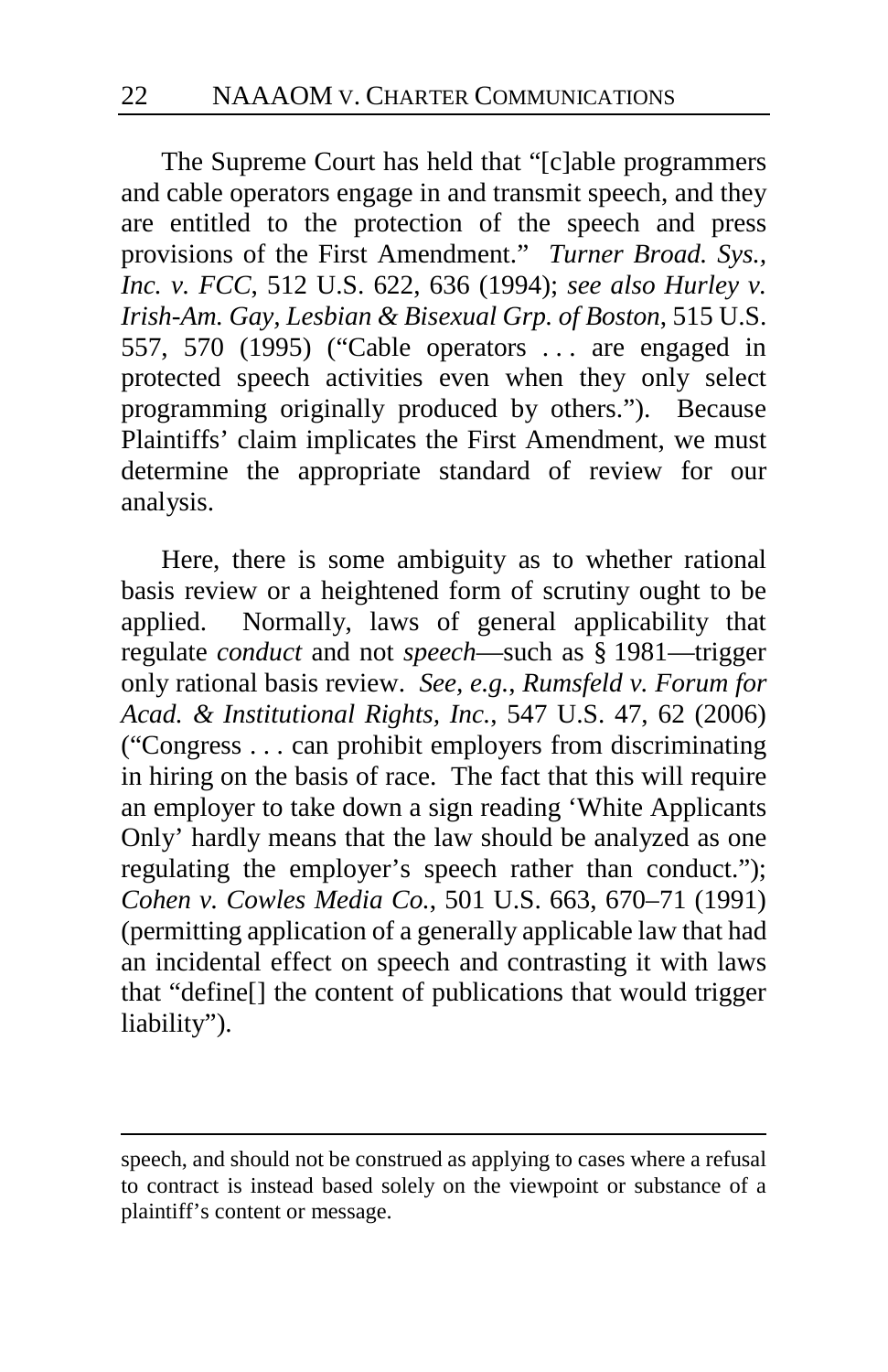The Supreme Court has held that "[c]able programmers and cable operators engage in and transmit speech, and they are entitled to the protection of the speech and press provisions of the First Amendment." *Turner Broad. Sys., Inc. v. FCC*, 512 U.S. 622, 636 (1994); *see also Hurley v. Irish-Am. Gay, Lesbian & Bisexual Grp. of Boston*, 515 U.S. 557, 570 (1995) ("Cable operators . . . are engaged in protected speech activities even when they only select programming originally produced by others."). Because Plaintiffs' claim implicates the First Amendment, we must determine the appropriate standard of review for our analysis.

Here, there is some ambiguity as to whether rational basis review or a heightened form of scrutiny ought to be applied. Normally, laws of general applicability that regulate *conduct* and not *speech*—such as § 1981—trigger only rational basis review. *See, e.g.*, *Rumsfeld v. Forum for Acad. & Institutional Rights, Inc.*, 547 U.S. 47, 62 (2006) ("Congress . . . can prohibit employers from discriminating in hiring on the basis of race. The fact that this will require an employer to take down a sign reading 'White Applicants Only' hardly means that the law should be analyzed as one regulating the employer's speech rather than conduct."); *Cohen v. Cowles Media Co.*, 501 U.S. 663, 670–71 (1991) (permitting application of a generally applicable law that had an incidental effect on speech and contrasting it with laws that "define[] the content of publications that would trigger liability").

speech, and should not be construed as applying to cases where a refusal to contract is instead based solely on the viewpoint or substance of a plaintiff's content or message.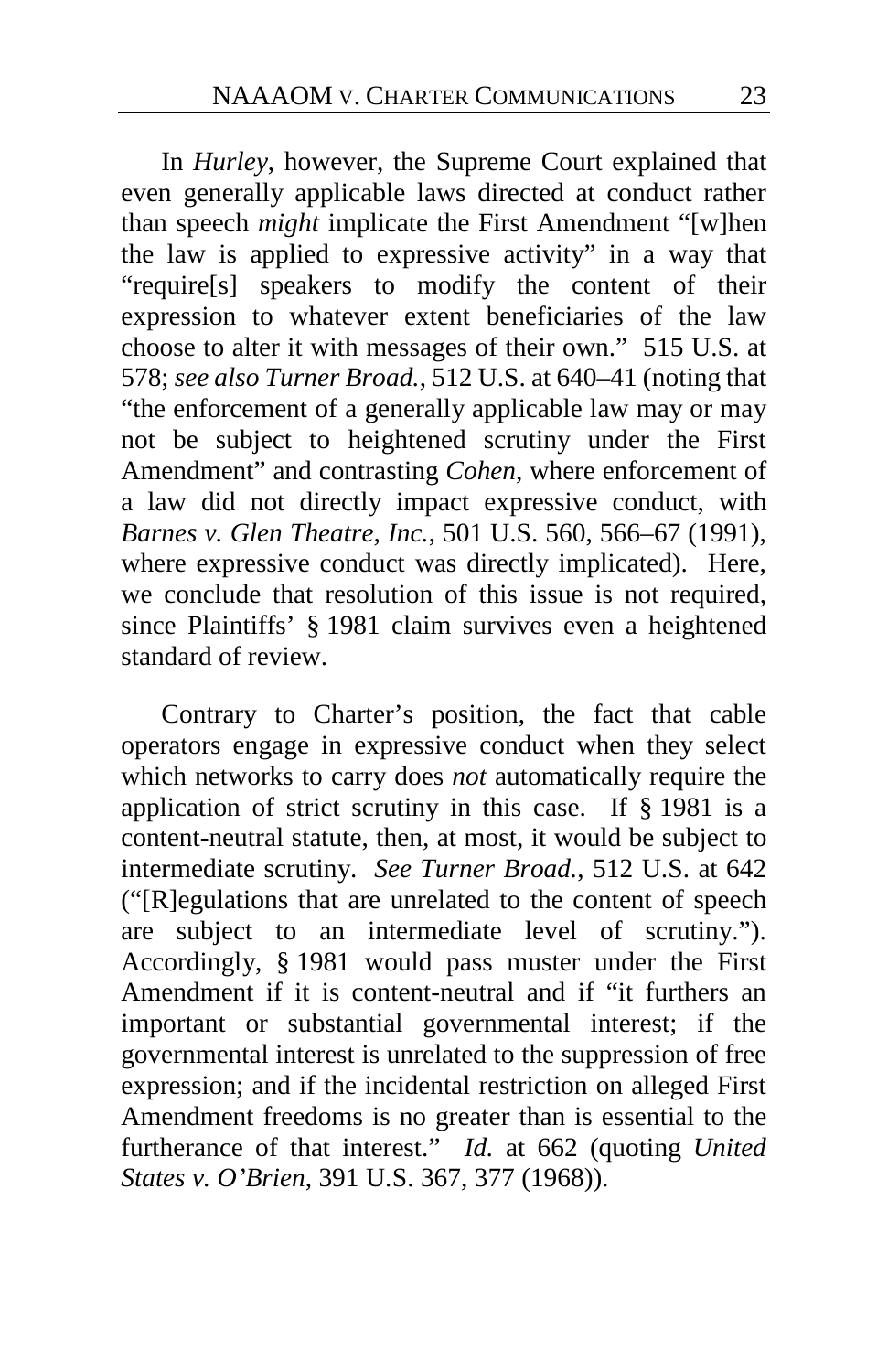In *Hurley*, however, the Supreme Court explained that even generally applicable laws directed at conduct rather than speech *might* implicate the First Amendment "[w]hen the law is applied to expressive activity" in a way that "require[s] speakers to modify the content of their expression to whatever extent beneficiaries of the law choose to alter it with messages of their own." 515 U.S. at 578; *see also Turner Broad.*, 512 U.S. at 640–41 (noting that "the enforcement of a generally applicable law may or may not be subject to heightened scrutiny under the First Amendment" and contrasting *Cohen*, where enforcement of a law did not directly impact expressive conduct, with *Barnes v. Glen Theatre, Inc.*, 501 U.S. 560, 566–67 (1991), where expressive conduct was directly implicated). Here, we conclude that resolution of this issue is not required, since Plaintiffs' § 1981 claim survives even a heightened standard of review.

Contrary to Charter's position, the fact that cable operators engage in expressive conduct when they select which networks to carry does *not* automatically require the application of strict scrutiny in this case. If § 1981 is a content-neutral statute, then, at most, it would be subject to intermediate scrutiny. *See Turner Broad.*, 512 U.S. at 642 ("[R]egulations that are unrelated to the content of speech are subject to an intermediate level of scrutiny."). Accordingly, § 1981 would pass muster under the First Amendment if it is content-neutral and if "it furthers an important or substantial governmental interest; if the governmental interest is unrelated to the suppression of free expression; and if the incidental restriction on alleged First Amendment freedoms is no greater than is essential to the furtherance of that interest." *Id.* at 662 (quoting *United States v. O'Brien*, 391 U.S. 367, 377 (1968)).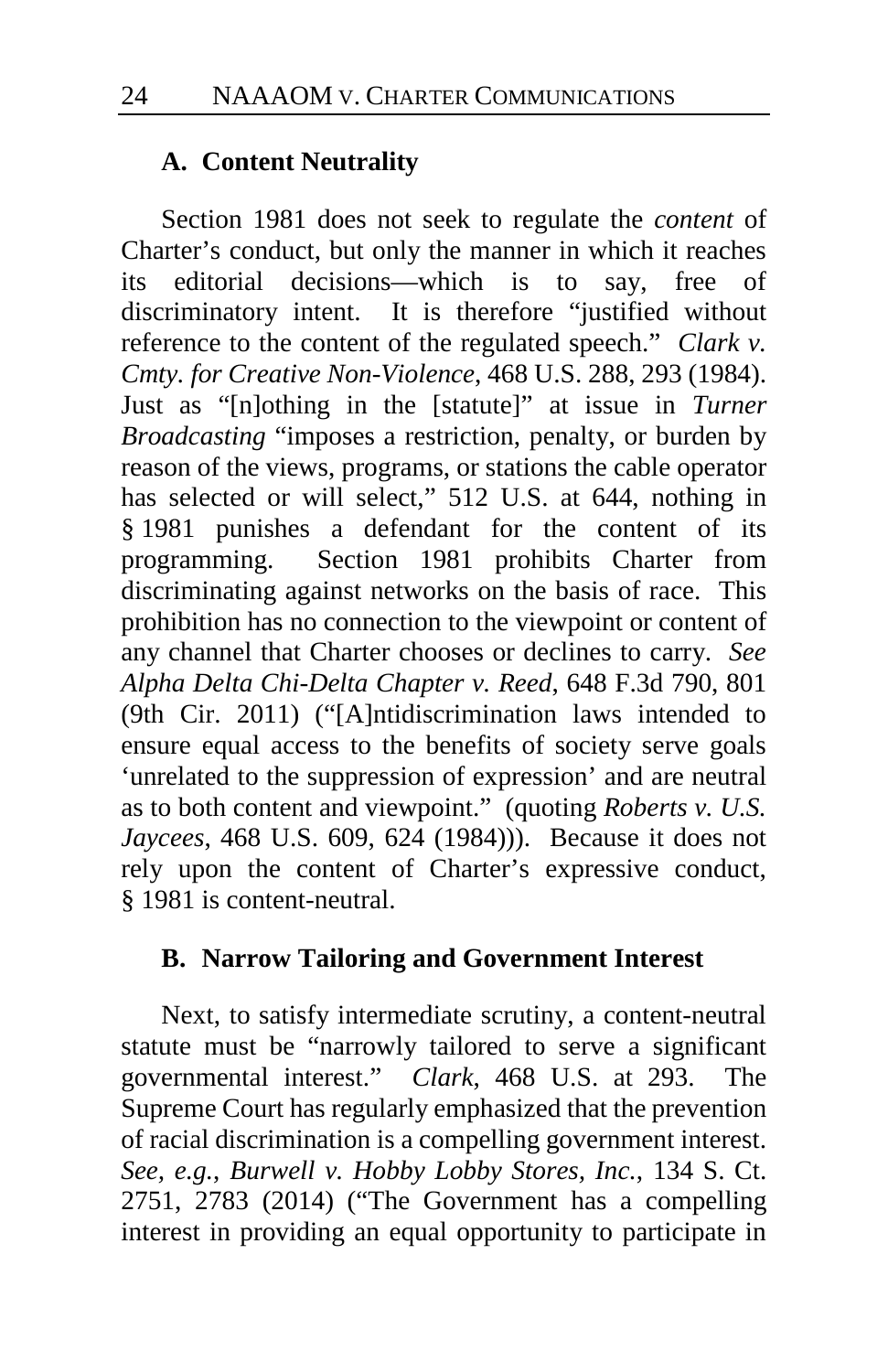#### **A. Content Neutrality**

Section 1981 does not seek to regulate the *content* of Charter's conduct, but only the manner in which it reaches its editorial decisions—which is to say, free of discriminatory intent. It is therefore "justified without reference to the content of the regulated speech." *Clark v. Cmty. for Creative Non-Violence*, 468 U.S. 288, 293 (1984). Just as "[n]othing in the [statute]" at issue in *Turner Broadcasting* "imposes a restriction, penalty, or burden by reason of the views, programs, or stations the cable operator has selected or will select," 512 U.S. at 644, nothing in § 1981 punishes a defendant for the content of its programming. Section 1981 prohibits Charter from discriminating against networks on the basis of race. This prohibition has no connection to the viewpoint or content of any channel that Charter chooses or declines to carry. *See Alpha Delta Chi-Delta Chapter v. Reed*, 648 F.3d 790, 801 (9th Cir. 2011) ("[A]ntidiscrimination laws intended to ensure equal access to the benefits of society serve goals 'unrelated to the suppression of expression' and are neutral as to both content and viewpoint." (quoting *Roberts v. U.S. Jaycees*, 468 U.S. 609, 624 (1984))). Because it does not rely upon the content of Charter's expressive conduct, § 1981 is content-neutral.

### **B. Narrow Tailoring and Government Interest**

Next, to satisfy intermediate scrutiny, a content-neutral statute must be "narrowly tailored to serve a significant governmental interest." *Clark*, 468 U.S. at 293. The Supreme Court has regularly emphasized that the prevention of racial discrimination is a compelling government interest. *See, e.g.*, *Burwell v. Hobby Lobby Stores, Inc.*, 134 S. Ct. 2751, 2783 (2014) ("The Government has a compelling interest in providing an equal opportunity to participate in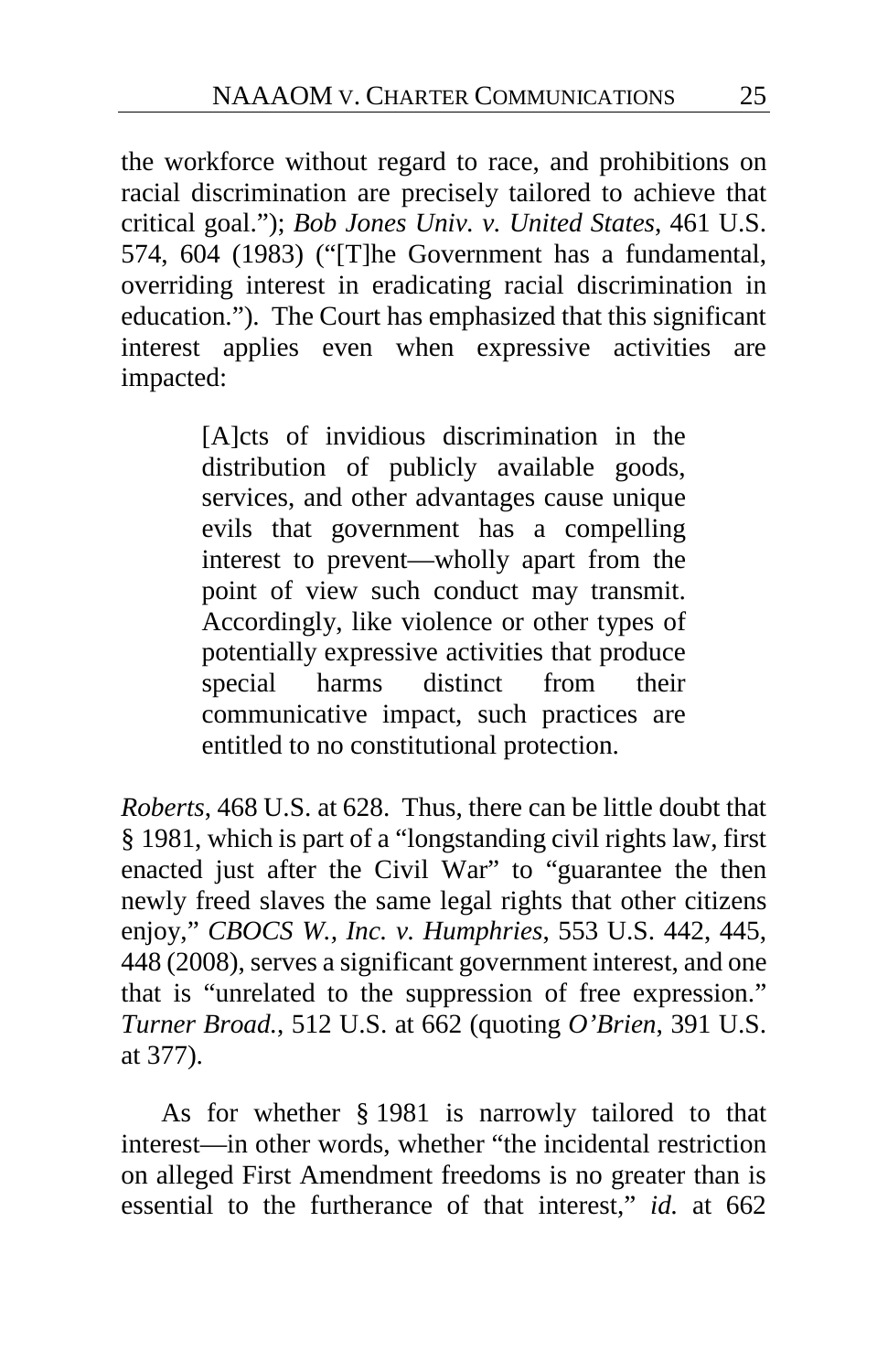the workforce without regard to race, and prohibitions on racial discrimination are precisely tailored to achieve that critical goal."); *Bob Jones Univ. v. United States*, 461 U.S. 574, 604 (1983) ("[T]he Government has a fundamental, overriding interest in eradicating racial discrimination in education."). The Court has emphasized that this significant interest applies even when expressive activities are impacted:

> [A]cts of invidious discrimination in the distribution of publicly available goods, services, and other advantages cause unique evils that government has a compelling interest to prevent—wholly apart from the point of view such conduct may transmit. Accordingly, like violence or other types of potentially expressive activities that produce special harms distinct from their communicative impact, such practices are entitled to no constitutional protection.

*Roberts*, 468 U.S. at 628. Thus, there can be little doubt that § 1981, which is part of a "longstanding civil rights law, first enacted just after the Civil War" to "guarantee the then newly freed slaves the same legal rights that other citizens enjoy," *CBOCS W., Inc. v. Humphries*, 553 U.S. 442, 445, 448 (2008), serves a significant government interest, and one that is "unrelated to the suppression of free expression." *Turner Broad.*, 512 U.S. at 662 (quoting *O'Brien*, 391 U.S. at 377).

As for whether § 1981 is narrowly tailored to that interest—in other words, whether "the incidental restriction on alleged First Amendment freedoms is no greater than is essential to the furtherance of that interest," *id.* at 662